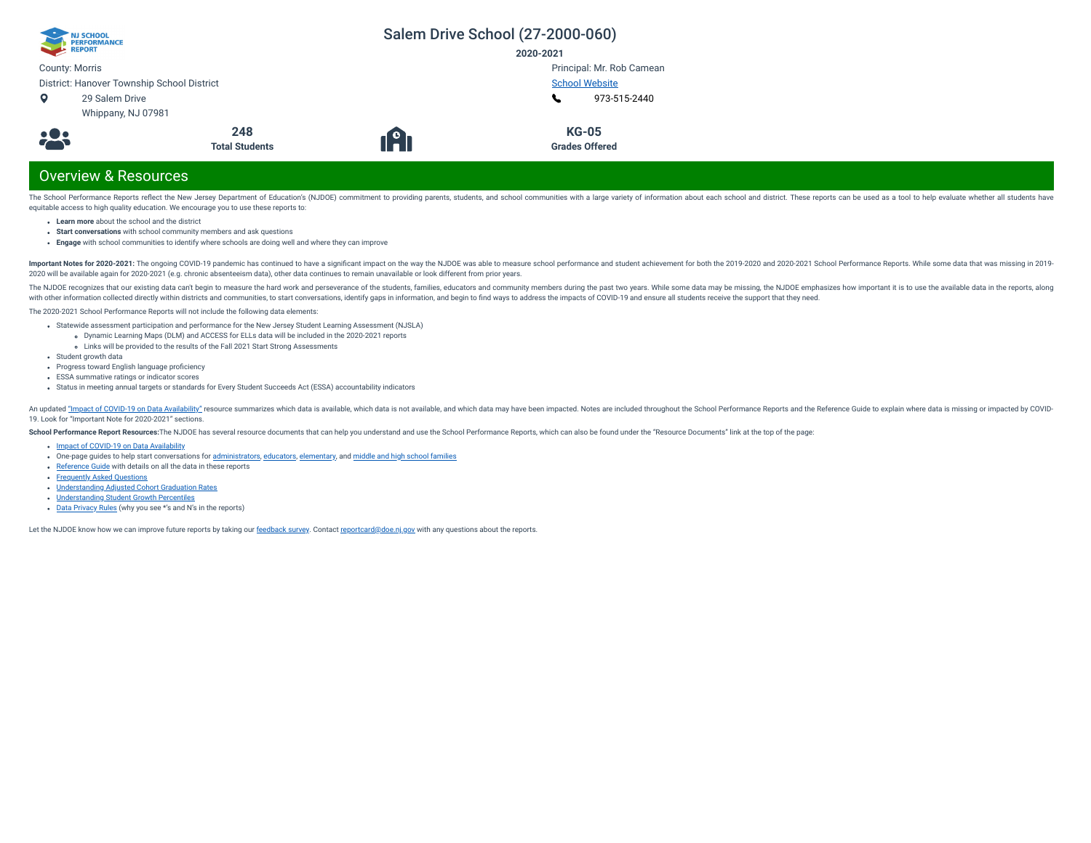| NJ SCHOOL<br>1 PERFORMANCE                 |                              |                       | Salem Drive School (27-2000-060)      |  |
|--------------------------------------------|------------------------------|-----------------------|---------------------------------------|--|
| REPORT                                     |                              |                       | 2020-2021                             |  |
| <b>County: Morris</b>                      |                              |                       | Principal: Mr. Rob Camean             |  |
| District: Hanover Township School District |                              | <b>School Website</b> |                                       |  |
| 29 Salem Drive<br>$\circ$                  |                              |                       | 973-515-2440                          |  |
| Whippany, NJ 07981                         |                              |                       |                                       |  |
| <b>:23</b>                                 | 248<br><b>Total Students</b> | 1 <b>A</b>            | <b>KG-05</b><br><b>Grades Offered</b> |  |

# Overview & Resources

The School Performance Reports reflect the New Jersey Department of Education's (NJDOE) commitment to providing parents, students, and school communities with a large variety of information about each school and district. equitable access to high quality education. We encourage you to use these reports to:

- **Learn more** about the school and the district
- **Start conversations** with school community members and ask questions
- **Engage** with school communities to identify where schools are doing well and where they can improve

Important Notes for 2020-2021: The ongoing COVID-19 pandemic has continued to have a significant impact on the way the NJDOE was able to measure school performance and student achievement for both the 2019-2020 and 2020-20 2020 will be available again for 2020-2021 (e.g. chronic absenteeism data), other data continues to remain unavailable or look different from prior years.

The NJDOE recognizes that our existing data can't begin to measure the hard work and perseverance of the students, families, educators and community members during the past two years. While some data may be missing, the NJ with other information collected directly within districts and communities, to start conversations, identify gaps in information, and begin to find ways to address the impacts of COVID-19 and ensure all students receive th

The 2020-2021 School Performance Reports will not include the following data elements:

- Statewide assessment participation and performance for the New Jersey Student Learning Assessment (NJSLA)
	- Dynamic Learning Maps (DLM) and ACCESS for ELLs data will be included in the 2020-2021 reports
- Links will be provided to the results of the Fall 2021 Start Strong Assessments
- Student growth data
- Progress toward English language proficiency
- ESSA summative ratings or indicator scores
- Status in meeting annual targets or standards for Every Student Succeeds Act (ESSA) accountability indicators

An updated "Impact of [COVID-19 on](https://www.nj.gov/education/schoolperformance/resources/docs/2020-21_SchoolPerformanceReports_ImpactOf_COVID-19_on_DataAvailability.pdf) Data Availability" resource summarizes which data is available, which data is available, which data is not available, and which data is may have been impacted. Notes are included throughou 19. Look for "Important Note for 2020-2021" sections.

School Performance Report Resources: The NJDOE has several resource documents that can help you understand and use the School Performance Reports, which can also be found under the "Resource Documents" link at the top of t

- Impact of [COVID-19 on](https://www.nj.gov/education/schoolperformance/resources/docs/2020-21_SchoolPerformanceReports_ImpactOf_COVID-19_on_DataAvailability.pdf) Data Availability
- one-page guides to help start conversations for [administrators,](https://www.nj.gov/education/schoolperformance/resources/docs/2020-21_SchoolPerformanceReports_GuideForAdministrators.pdf) [educators](https://www.nj.gov/education/schoolperformance/resources/docs/2020-21_SchoolPerformanceReports_GuideForEducators.pdf), [elementary,](https://www.nj.gov/education/schoolperformance/resources/docs/2020-21_SchoolPerformanceReports_GuideForElementaryFamilies.pdf) and middle and high school [families](https://www.nj.gov/education/schoolperformance/resources/docs/2020-21_SchoolPerformanceReports_GuideForMiddle_and_HighSchoolFamilies.pdf)
- [Reference](https://navilp7rg08njprsharedst.blob.core.windows.net/perf-reports-ct/Documents/2021/ReferenceGuide.pdf) Guide with details on all the data in these reports
- **[Frequently](https://navilp7rg08njprsharedst.blob.core.windows.net/perf-reports-ct/Documents/2021/FAQs.pdf) Asked Questions**
- [Understanding](https://www.nj.gov/education/schoolperformance/grad/docs/Understanding%20Adjusted%20Cohort%20Graduation%20Rates.pdf) Adjusted Cohort Graduation Rates
- [Understanding](https://www.nj.gov/education/schoolperformance/growth/Understanding%20Median%20Student%20Growth%20Percentiles.pdf) Student Growth Percentiles
- Data [Privacy](https://navilp7rg08njprsharedst.blob.core.windows.net/perf-reports-ct/Documents/2021//DataPrivacyRules.pdf) Rules (why you see \*'s and N's in the reports)

Let the NJDOE know how we can improve future reports by taking our [feedback](https://www.surveymonkey.com/r/2020-21SPR) survey. Contact [reportcard@doe.nj.gov](mailto:reportcard@doe.nj.gov) with any questions about the reports.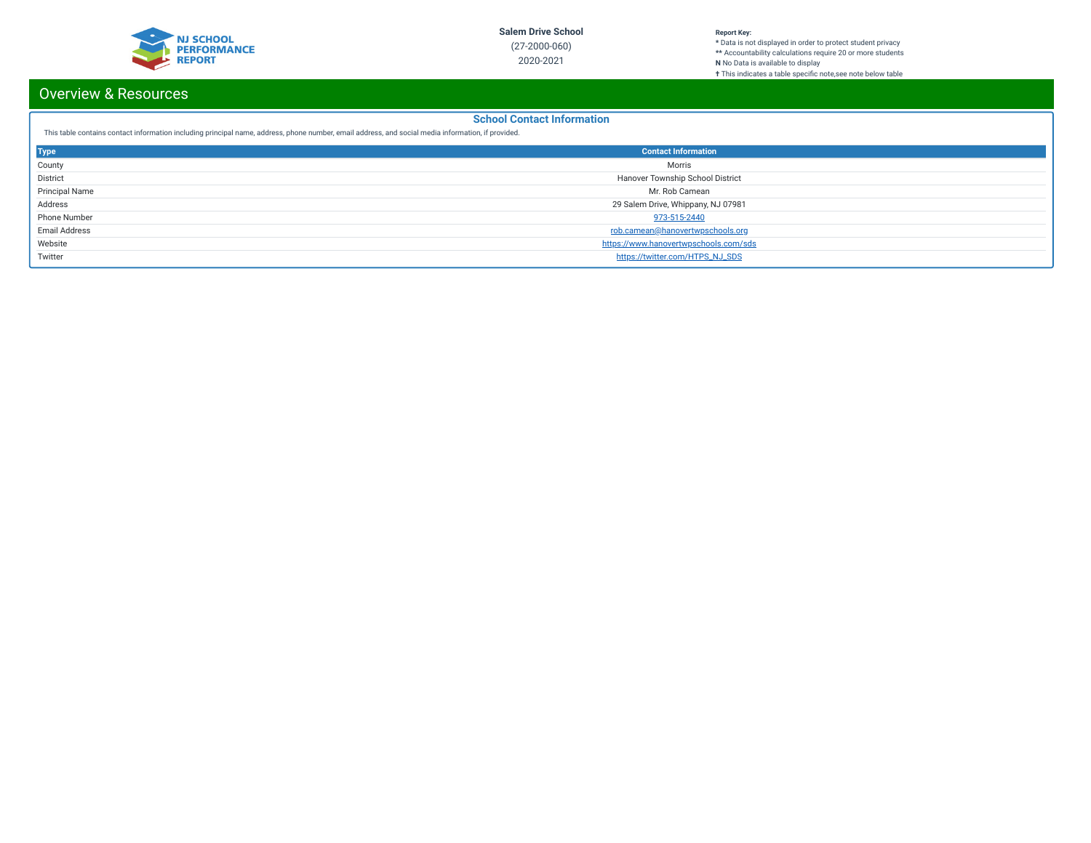

#### **Report Key:**

**\*** Data is not displayed in order to protect student privacy **\*\*** Accountability calculations require 20 or more students **N** No Data is available to display **†** This indicates a table specic note,see note below table

# Overview & Resources

## **School Contact Information**

This table contains contact information including principal name, address, phone number, email address, and social media information, if provided.

| <b>Type</b>           | <b>Contact Information</b>            |  |  |  |
|-----------------------|---------------------------------------|--|--|--|
| County                | Morris                                |  |  |  |
| District              | Hanover Township School District      |  |  |  |
| <b>Principal Name</b> | Mr. Rob Camean                        |  |  |  |
| Address               | 29 Salem Drive, Whippany, NJ 07981    |  |  |  |
| Phone Number          | 973-515-2440                          |  |  |  |
| <b>Email Address</b>  | rob.camean@hanovertwpschools.org      |  |  |  |
| Website               | https://www.hanovertwpschools.com/sds |  |  |  |
| Twitter               | https://twitter.com/HTPS_NJ_SDS       |  |  |  |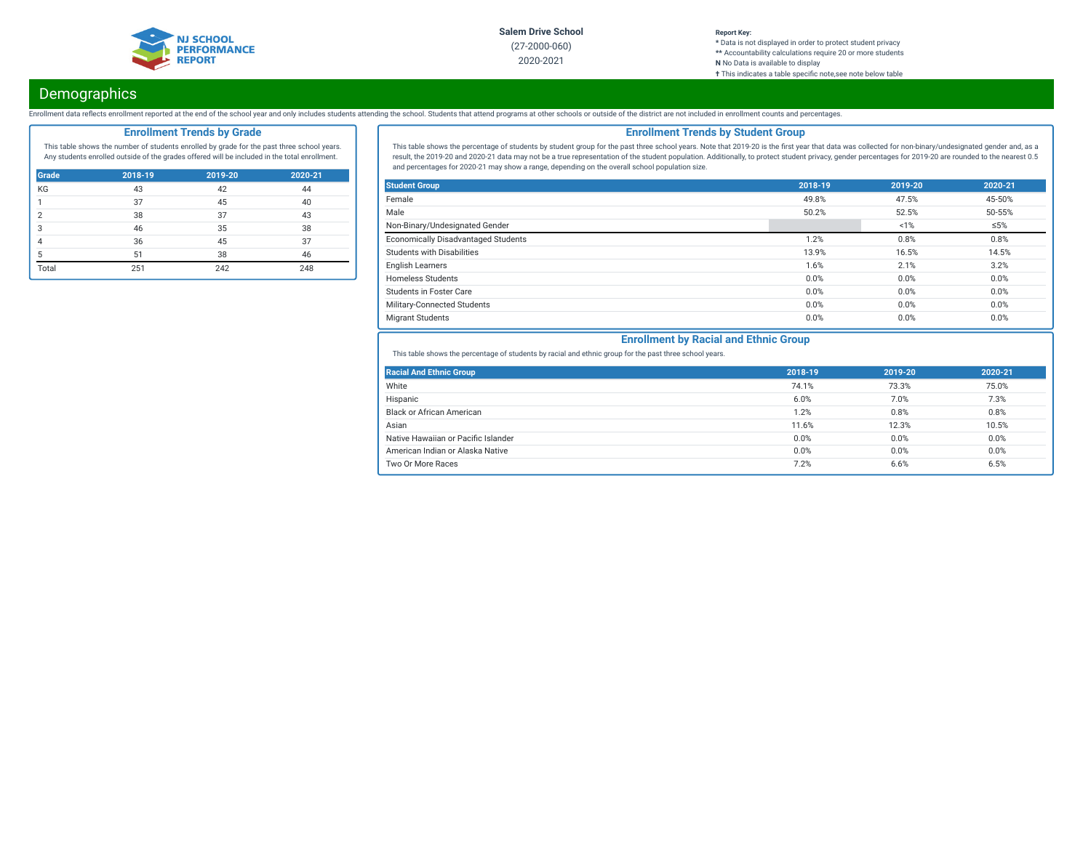

#### **Report Key: \*** Data is not displayed in order to protect student privacy **\*\*** Accountability calculations require 20 or more students **N** No Data is available to display **†** This indicates a table specific note, see note below table

# **Demographics**

Enrollment data reflects enrollment reported at the end of the school year and only includes students attending the school. Students that attend programs at other schools or outside of the district are not included in enro

## **Enrollment Trends by Grade**

This table shows the number of students enrolled by grade for the past three school years. Any students enrolled outside of the grades offered will be included in the total enrollment.

| Grade          | 2018-19 | 2019-20 | 2020-21 |
|----------------|---------|---------|---------|
| KG             | 43      | 42      | 44      |
|                | 37      | 45      | 40      |
| $\overline{2}$ | 38      | 37      | 43      |
| 3              | 46      | 35      | 38      |
|                | 36      | 45      | 37      |
| 5              | 51      | 38      | 46      |
| Total          | 251     | 242     | 248     |

## **Enrollment Trends by Student Group**

This table shows the percentage of students by student group for the past three school years. Note that 2019-20 is the first year that data was collected for non-binary/undesignated gender and, as a result, the 2019-20 and 2020-21 data may not be a true representation of the student population. Additionally, to protect student privacy, gender percentages for 2019-20 are rounded to the nearest 0.5 and percentages for 2020-21 may show a range, depending on the overall school population size.

| <b>Student Group</b>                       | 2018-19 | 2019-20 | 2020-21    |
|--------------------------------------------|---------|---------|------------|
| Female                                     | 49.8%   | 47.5%   | 45-50%     |
| Male                                       | 50.2%   | 52.5%   | 50-55%     |
| Non-Binary/Undesignated Gender             |         | 1%      | $\leq 5\%$ |
| <b>Economically Disadvantaged Students</b> | 1.2%    | 0.8%    | 0.8%       |
| <b>Students with Disabilities</b>          | 13.9%   | 16.5%   | 14.5%      |
| <b>English Learners</b>                    | 1.6%    | 2.1%    | 3.2%       |
| <b>Homeless Students</b>                   | 0.0%    | 0.0%    | 0.0%       |
| <b>Students in Foster Care</b>             | 0.0%    | 0.0%    | 0.0%       |
| Military-Connected Students                | 0.0%    | 0.0%    | 0.0%       |
| <b>Migrant Students</b>                    | 0.0%    | 0.0%    | 0.0%       |

## **Enrollment by Racial and Ethnic Group**

This table shows the percentage of students by racial and ethnic group for the past three school years.

| <b>Racial And Ethnic Group</b>      | 2018-19 | 2019-20 | 2020-21 |
|-------------------------------------|---------|---------|---------|
| White                               | 74.1%   | 73.3%   | 75.0%   |
| Hispanic                            | 6.0%    | 7.0%    | 7.3%    |
| <b>Black or African American</b>    | 1.2%    | 0.8%    | 0.8%    |
| Asian                               | 11.6%   | 12.3%   | 10.5%   |
| Native Hawaiian or Pacific Islander | 0.0%    | 0.0%    | 0.0%    |
| American Indian or Alaska Native    | 0.0%    | 0.0%    | 0.0%    |
| Two Or More Races                   | 7.2%    | 6.6%    | 6.5%    |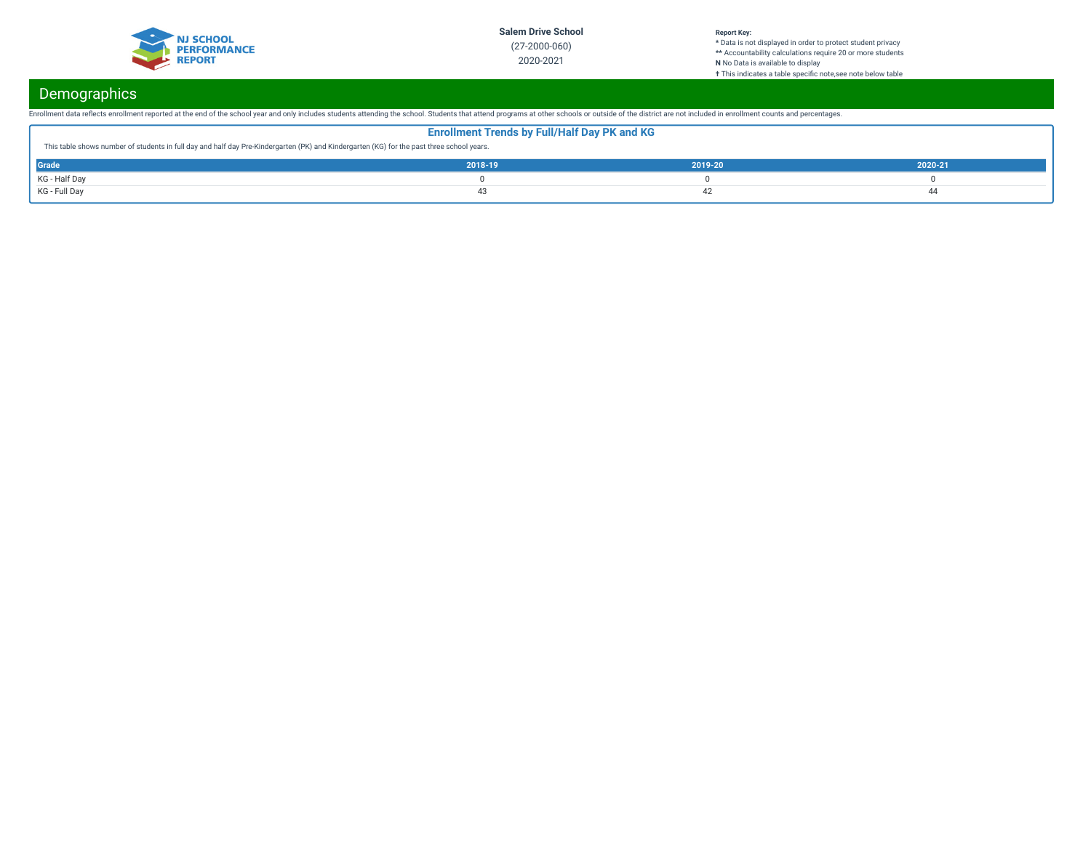

### **Report Key:**

**\*** Data is not displayed in order to protect student privacy **\*\*** Accountability calculations require 20 or more students **N** No Data is available to display **†** This indicates a table specic note,see note below table

# **Demographics**

Enrollment data reflects enrollment reported at the end of the school year and only includes students attending the school. Students that attend programs at other schools or outside of the district are not included in enro

| <b>Enrollment Trends by Full/Half Day PK and KG</b>                                                                                       |         |         |         |  |  |
|-------------------------------------------------------------------------------------------------------------------------------------------|---------|---------|---------|--|--|
| This table shows number of students in full day and half day Pre-Kindergarten (PK) and Kindergarten (KG) for the past three school years. |         |         |         |  |  |
| Grade                                                                                                                                     | 2018-19 | 2019-20 | 2020-21 |  |  |
| KG - Half Day                                                                                                                             |         |         |         |  |  |
| KG - Full Day                                                                                                                             |         |         | 44      |  |  |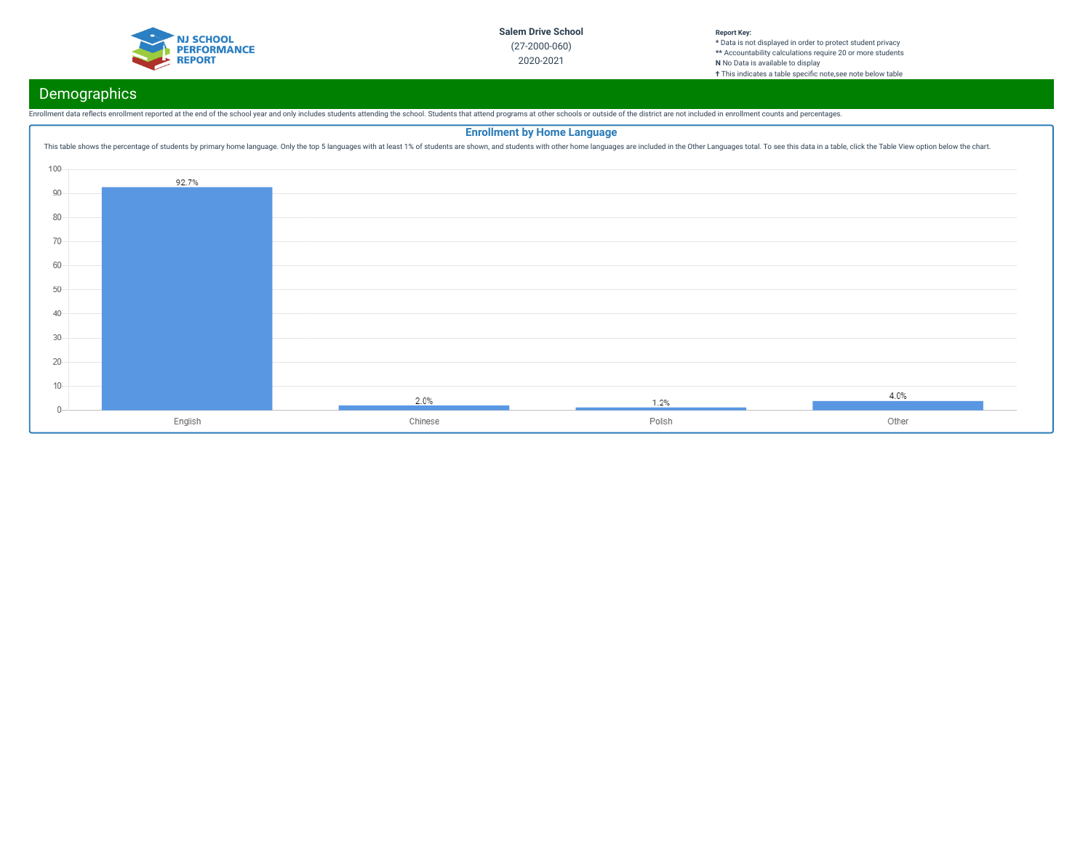

#### **Report Key: \*** Data is not displayed in order to protect student privacy **\*\*** Accountability calculations require 20 or more students **N** No Data is available to display **†** This indicates a table specific note, see note below table

# Demographics

Enrollment data reflects enrollment reported at the end of the school year and only includes students attending the school. Students that attend programs at other schools or outside of the district are not included in enro

## **Enrollment by Home Language**This table shows the percentage of students by primary home language. Only the top 5 languages with at least 1% of students are shown, and students with other home languages are included in the Other Languages total. To se 100 92.7% 90 80 70 60 50 40 30 20 10  $4.0%$  $2.0%$  $1.2%$  $0 -$ English Chinese Polish Other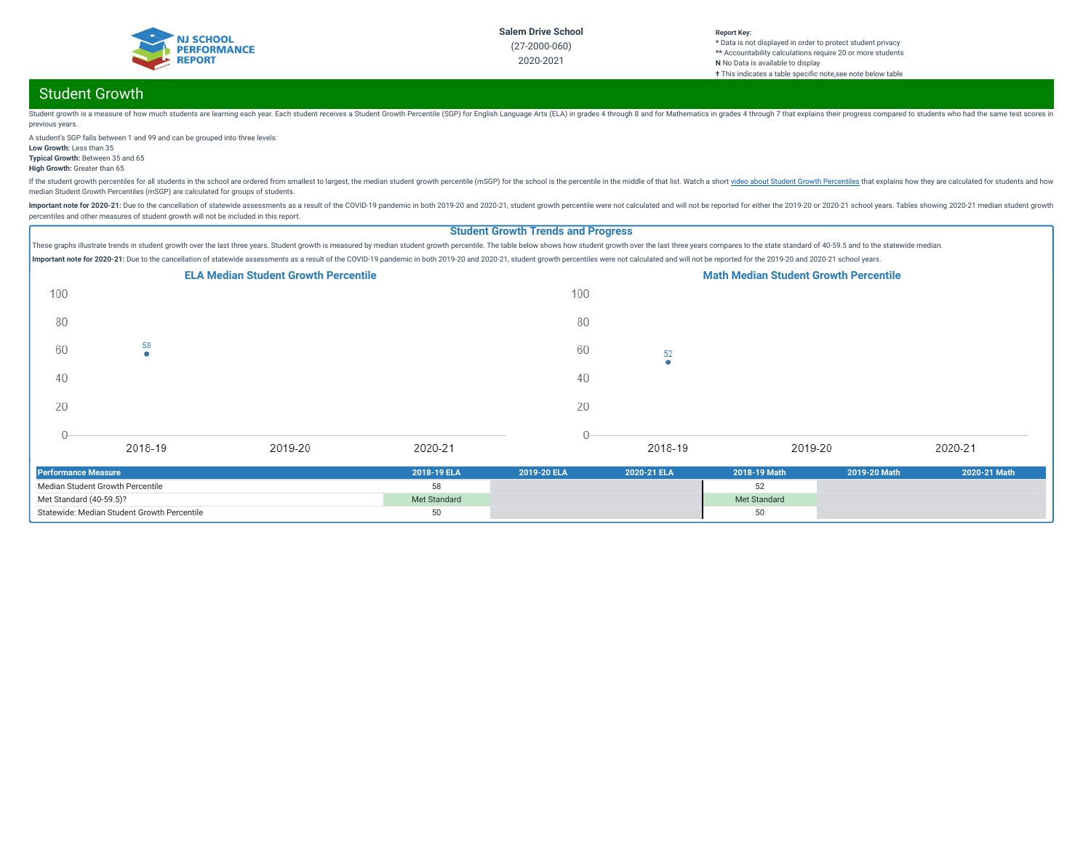

# Student Growth

Student growth is a measure of how much students are learning each year. Each student receives a Student crowth Percentile (SGP) for English Language Arts (ELA) in grades 4 through 8 and for Mathematics in grades 4 through previous years.

A student's SGP falls between 1 and 99 and can be grouped into three levels: **Low Growth:** Less than 35

**Typical Growth:** Between 35 and 65

**High Growth:** Greater than 65

If the student growth percentiles for all students in the school are ordered from smallest to largest, the median student growth percentile (mSGP) for the school is the percentile in the middle of that list. Watch a short median Student Growth Percentiles (mSGP) are calculated for groups of students.

Important note for 2020-21: Due to the cancellation of statewide assessments as a result of the COVID-19 pandemic in both 2019-20 and 2020-21, student growth percentile were not calculated and will not be reported for eith percentiles and other measures of student growth will not be included in this report.

## **Student Growth Trends and Progress**

These graphs illustrate trends in student growth over the last three years. Student growth is measured by median student growth percentile. The table below shows how student growth over the last three years compares to the Important note for 2020-21: Due to the cancellation of statewide assessments as a result of the COVID-19 pandemic in both 2019-20 and 2020-21, student growth percentiles were not calculated and will not be reported for the



| <b>Performance Measure</b>                  | 2018-19 ELA  | 2019-20 ELA | 2020-21 ELA | 2018-19 Math | 2019-20 Math | 2020-21 Math |
|---------------------------------------------|--------------|-------------|-------------|--------------|--------------|--------------|
| Median Student Growth Percentile            |              |             |             |              |              |              |
| Met Standard (40-59.5)?                     | Met Standard |             |             | Met Standard |              |              |
| Statewide: Median Student Growth Percentile |              |             |             |              |              |              |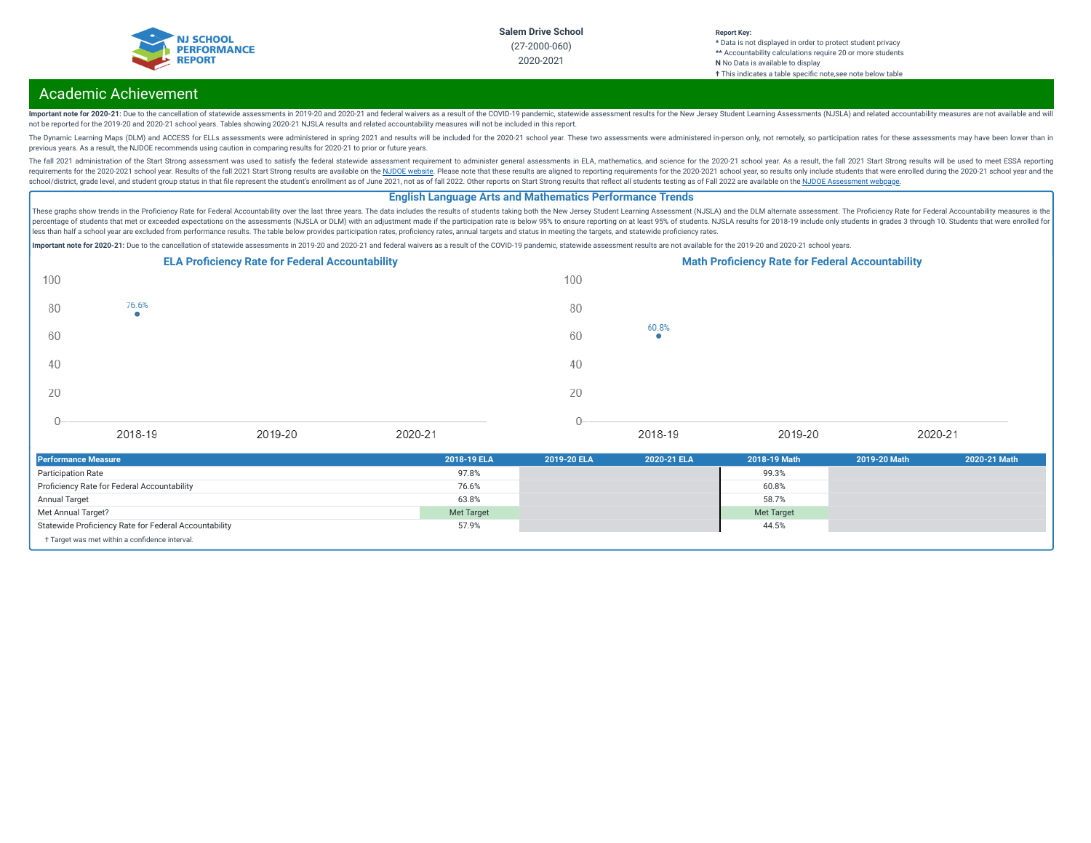

#### **Report Key: \*** Data is not displayed in order to protect student privacy **\*\*** Accountability calculations require 20 or more students **N** No Data is available to display **†** This indicates a table specific note, see note below table

# Academic Achievement

Important note for 2020-21: Due to the cancellation of statewide assessments in 2019-20 and 2020-21 and federal waivers as a result of the COVID-19 pandemic, statewide assessment results for the New Jersey Student Learning not be reported for the 2019-20 and 2020-21 school years. Tables showing 2020-21 NJSLA results and related accountability measures will not be included in this report.

The Dynamic Learning Maps (DLM) and ACCESS for ELLs assessments were administered in spring 2021 and results will be included for the 2020-21 school year. These two assessments were administered in-person only, not remotel previous years. As a result, the NJDOE recommends using caution in comparing results for 2020-21 to prior or future years.

The fall 2021 administration of the Start Strong assessment was used to satisfy the federal statewide assessment requirement to administer general assessments in ELA, mathematics, and science for the 2020-21 school year. A requirements for the 2020-2021 school year. Results of the fall 2021 Start Strong results are available on the NJDOE [website](https://www.state.nj.us/education/title1/accountability/progress/21/). Please note that these results are aligned to reporting requirements for the 2020-2021 school ye school/district, grade level, and student group status in that file represent the student's enrollment as of June 2021, not as of fall 2022. Other reports on Start Strong results that reflect all students testing as of Fal

## **English Language Arts and Mathematics Performance Trends**

These graphs show trends in the Proficiency Rate for Federal Accountability over the last three years. The data includes the results of students taking both the New Jersey Student Learning Assessment (NJSLA) and the DLM al percentage of students that met or exceeded expectations on the assessments (NJSLA or DLM) with an adjustment made if the participation rate is below 95% to ensure reporting on at least 95% of students. NJSLA results for 2 .<br>less than half a school year are excluded from performance results. The table below provides participation rates, proficiency rates, annual targets and status in meeting the targets, and statewide proficiency rates.

Important note for 2020-21: Due to the cancellation of statewide assessments in 2019-20 and 2020-21 and federal waivers as a result of the COVID-19 pandemic, statewide assessment results are not available for the 2019-20 a

|         |         | <b>ELA Proficiency Rate for Federal Accountability</b> |         |      |            | <b>Math Proficiency Rate for Federal Accountability</b> |         |  |
|---------|---------|--------------------------------------------------------|---------|------|------------|---------------------------------------------------------|---------|--|
| 100     |         |                                                        |         | 100  |            |                                                         |         |  |
| 80      | 76.6%   |                                                        |         | 80   |            |                                                         |         |  |
| 60      |         |                                                        |         | 60   | 60.8%<br>۰ |                                                         |         |  |
| 40      |         |                                                        |         | 40   |            |                                                         |         |  |
| 20      |         |                                                        |         | 20   |            |                                                         |         |  |
| Λ<br>U- | 2018-19 | 2019-20                                                | 2020-21 | $0-$ | 2018-19    | 2019-20                                                 | 2020-21 |  |

| <b>Performance Measure</b>                            | 2018-19 ELA | 2019-20 ELA | 2020-21 ELA | 2018-19 Math      | 2019-20 Math | 2020-21 Math |
|-------------------------------------------------------|-------------|-------------|-------------|-------------------|--------------|--------------|
| <b>Participation Rate</b>                             | 97.8%       |             |             | 99.3%             |              |              |
| Proficiency Rate for Federal Accountability           | 76.6%       |             |             | 60.8%             |              |              |
| Annual Target                                         | 63.8%       |             |             | 58.7%             |              |              |
| Met Annual Target?                                    | Met Target  |             |             | <b>Met Target</b> |              |              |
| Statewide Proficiency Rate for Federal Accountability | 57.9%       |             |             | 44.5%             |              |              |
| + Target was met within a confidence interval.        |             |             |             |                   |              |              |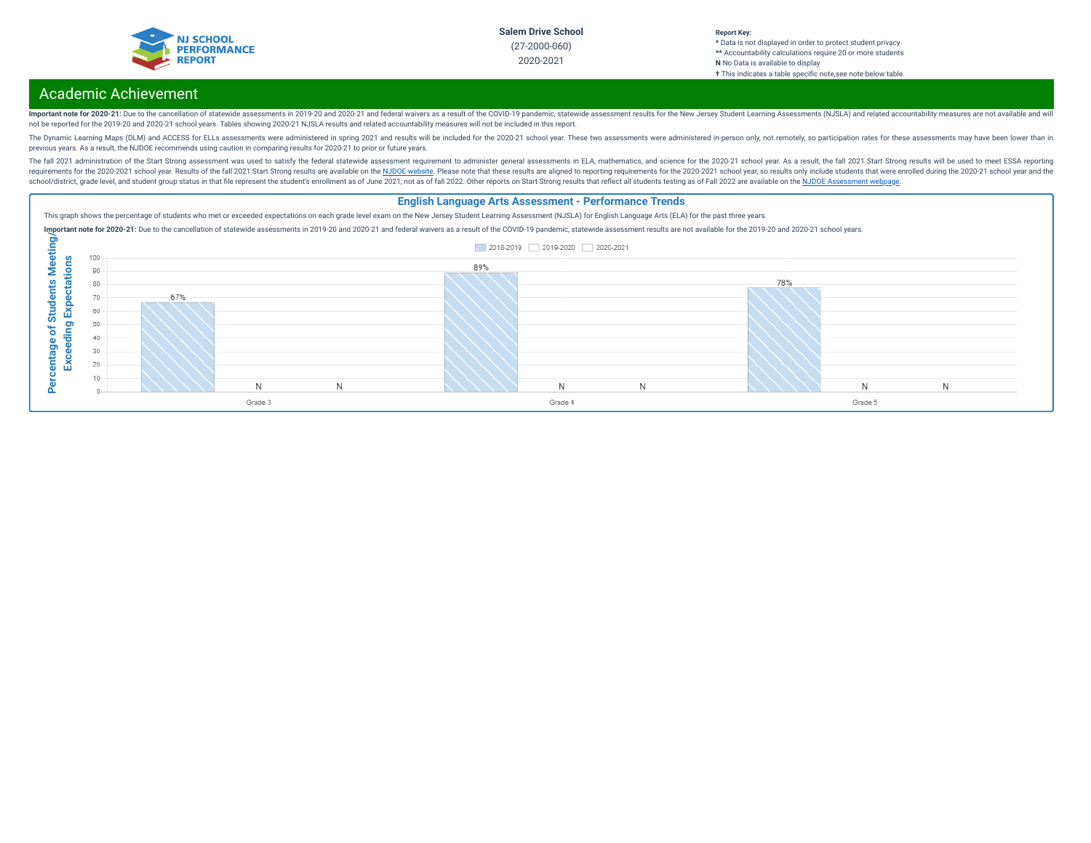

#### **Report Key: \*** Data is not displayed in order to protect student privacy **\*\*** Accountability calculations require 20 or more students **N** No Data is available to display **†** This indicates a table specific note, see note below table

# Academic Achievement

Important note for 2020-21: Due to the cancellation of statewide assessments in 2019-20 and 2020-21 and federal waivers as a result of the COVID-19 pandemic, statewide assessment results for the New Jersey Student Learning not be reported for the 2019-20 and 2020-21 school years. Tables showing 2020-21 NJSLA results and related accountability measures will not be included in this report.

The Dynamic Learning Maps (DLM) and ACCESS for ELLs assessments were administered in spring 2021 and results will be included for the 2020-21 school year. These two assessments were administered in-person only, not remotel previous years. As a result, the NJDOE recommends using caution in comparing results for 2020-21 to prior or future years.

The fall 2021 administration of the Start Strong assessment was used to satisfy the federal statewide assessment requirement to administer general assessments in ELA, mathematics, and science for the 2020-21 school year. A requirements for the 2020-2021 school year. Results of the fall 2021 Start Strong results are available on the NJDOE [website](https://www.state.nj.us/education/title1/accountability/progress/21/). Please note that these results are aligned to reporting requirements for the 2020-2021 school ye school/district, grade level, and student group status in that file represent the student's enrollment as of June 2021, not as of fall 2022. Other reports on Start Strong results that reflect all students testing as of Fal

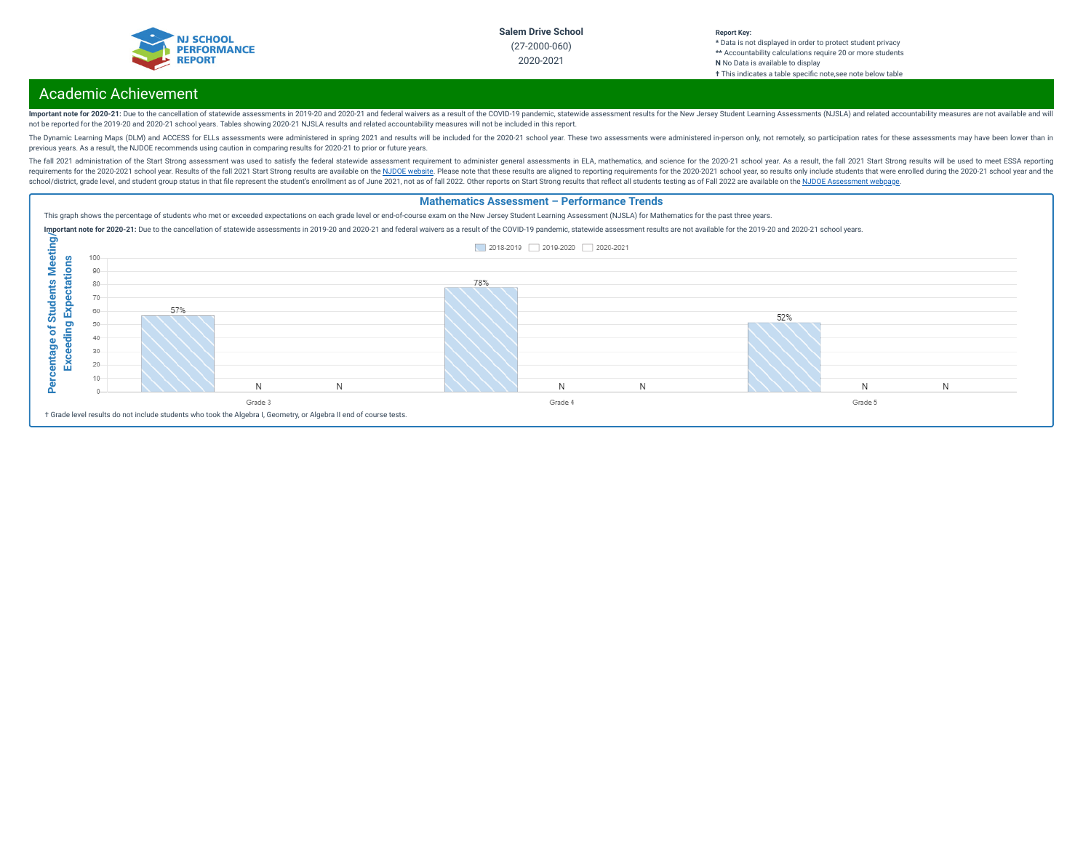

#### **Report Key: \*** Data is not displayed in order to protect student privacy **\*\*** Accountability calculations require 20 or more students **N** No Data is available to display **†** This indicates a table specific note, see note below table

# Academic Achievement

Important note for 2020-21: Due to the cancellation of statewide assessments in 2019-20 and 2020-21 and federal waivers as a result of the COVID-19 pandemic, statewide assessment results for the New Jersey Student Learning not be reported for the 2019-20 and 2020-21 school years. Tables showing 2020-21 NJSLA results and related accountability measures will not be included in this report.

The Dynamic Learning Maps (DLM) and ACCESS for ELLs assessments were administered in spring 2021 and results will be included for the 2020-21 school year. These two assessments were administered in-person only, not remotel previous years. As a result, the NJDOE recommends using caution in comparing results for 2020-21 to prior or future years.

The fall 2021 administration of the Start Strong assessment was used to satisfy the federal statewide assessment requirement to administer general assessments in ELA, mathematics, and science for the 2020-21 school year. A requirements for the 2020-2021 school year. Results of the fall 2021 Start Strong results are available on the NJDOE [website](https://www.state.nj.us/education/title1/accountability/progress/21/). Please note that these results are aligned to reporting requirements for the 2020-2021 school ye school/district, grade level, and student group status in that file represent the student's enrollment as of June 2021, not as of fall 2022. Other reports on Start Strong results that reflect all students testing as of Fal

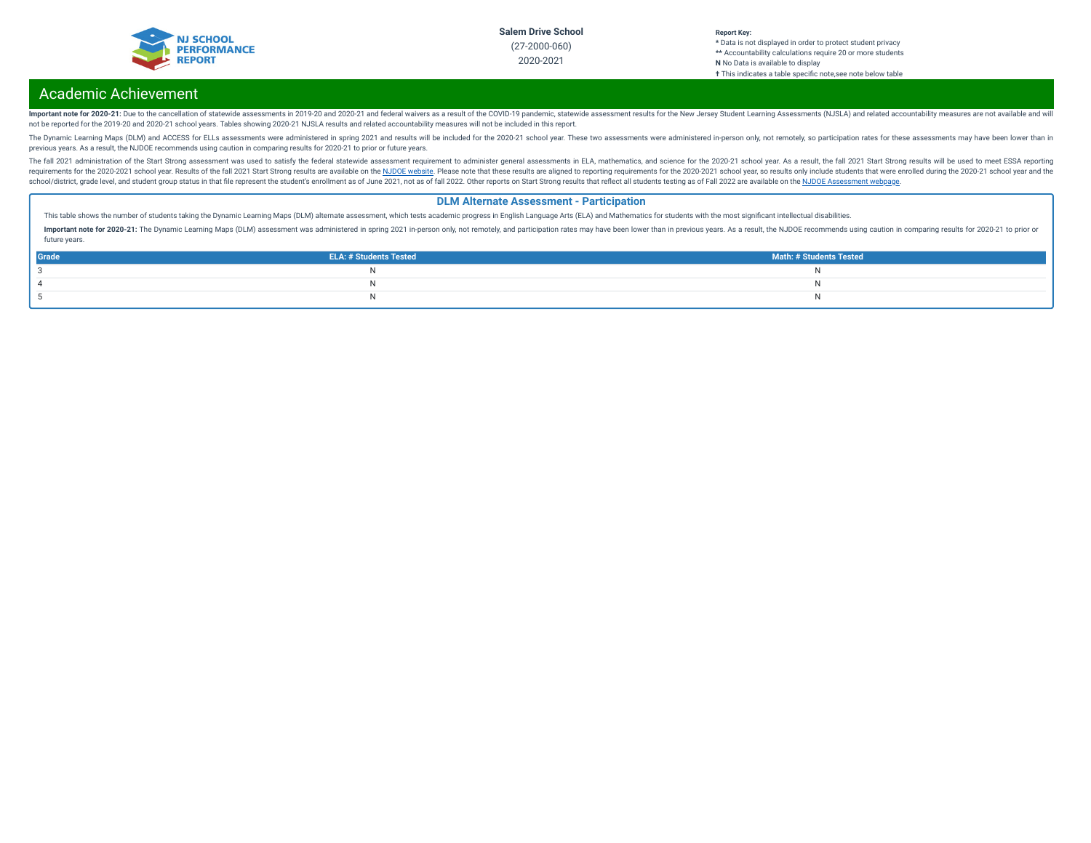

#### **Report Key: \*** Data is not displayed in order to protect student privacy **\*\*** Accountability calculations require 20 or more students **N** No Data is available to display **†** This indicates a table specic note,see note below table

# Academic Achievement

Important note for 2020-21: Due to the cancellation of statewide assessments in 2019-20 and 2020-21 and federal waivers as a result of the COVID-19 pandemic, statewide assessment results for the New Jersey Student Learning not be reported for the 2019-20 and 2020-21 school years. Tables showing 2020-21 NJSLA results and related accountability measures will not be included in this report.

The Dynamic Learning Maps (DLM) and ACCESS for ELLs assessments were administered in spring 2021 and results will be included for the 2020-21 school year. These two assessments were administered in-person only, not remotel previous years. As a result, the NJDOE recommends using caution in comparing results for 2020-21 to prior or future years.

The fall 2021 administration of the Start Strong assessment was used to satisfy the federal statewide assessment requirement to administer general assessments in ELA, mathematics, and science for the 2020-21 school year. A requirements for the 2020-2021 school year. Results of the fall 2021 Start Strong results are available on the NJDOE [website](https://www.state.nj.us/education/title1/accountability/progress/21/). Please note that these results are aligned to reporting requirements for the 2020-2021 school ye school/district, grade level, and student group status in that file represent the student's enrollment as of June 2021, not as of fall 2022. Other reports on Start Strong results that reflect all students testing as of Fal

### **DLM Alternate Assessment - Participation**

This table shows the number of students taking the Dynamic Learning Maps (DLM) alternate assessment, which tests academic progress in English Language Arts (ELA) and Mathematics for students with the most significant intel

Important note for 2020-21: The Dynamic Learning Maps (DLM) assessment was administered in spring 2021 in-person only, not remotely, and participation rates may have been lower than in previous years. As a result, the NJDO future years.

| Grade | <b>ELA: # Students Tested</b> | Math: # Students Tested |
|-------|-------------------------------|-------------------------|
|       |                               |                         |
|       |                               |                         |
|       |                               |                         |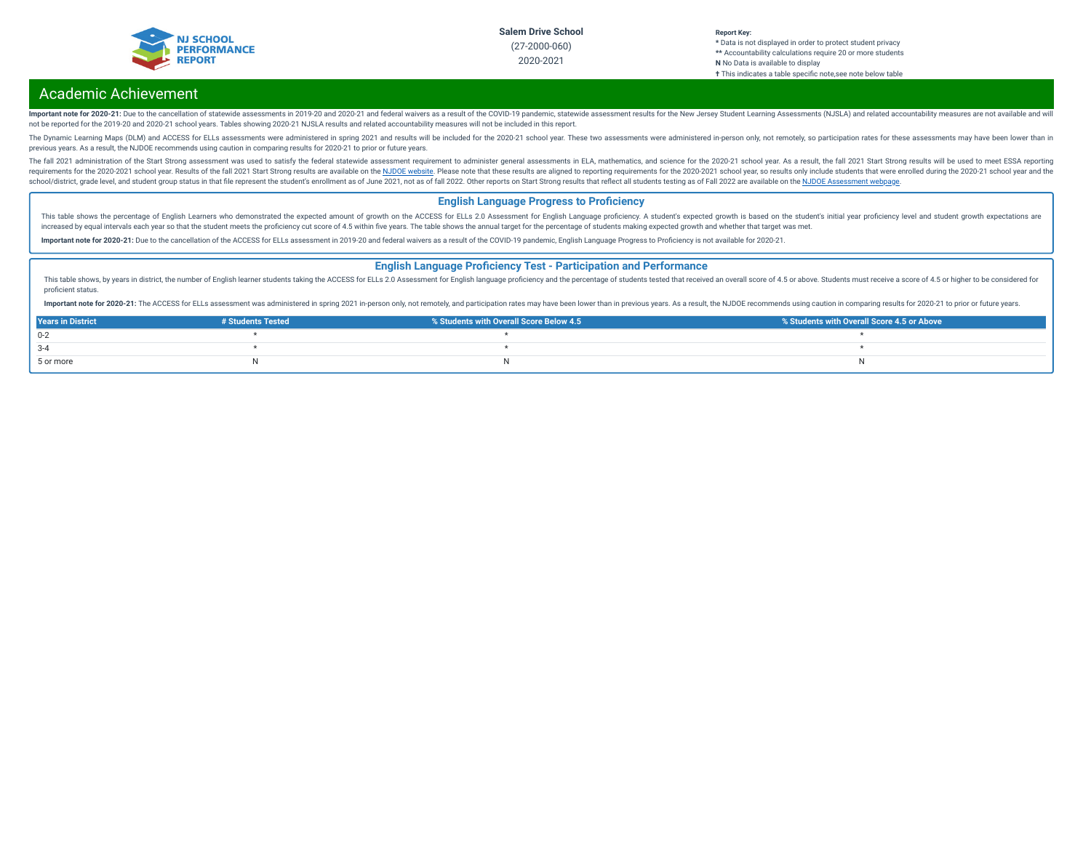

#### **Report Key: \*** Data is not displayed in order to protect student privacy **\*\*** Accountability calculations require 20 or more students **N** No Data is available to display **†** This indicates a table specific note, see note below table

## Academic Achievement

Important note for 2020-21: Due to the cancellation of statewide assessments in 2019-20 and 2020-21 and federal waivers as a result of the COVID-19 pandemic, statewide assessment results for the New Jersey Student Learning not be reported for the 2019-20 and 2020-21 school years. Tables showing 2020-21 NJSLA results and related accountability measures will not be included in this report.

The Dynamic Learning Maps (DLM) and ACCESS for ELLs assessments were administered in spring 2021 and results will be included for the 2020-21 school year. These two assessments were administered in-person only, not remotel previous years. As a result, the NJDOE recommends using caution in comparing results for 2020-21 to prior or future years.

The fall 2021 administration of the Start Strong assessment was used to satisfy the federal statewide assessment requirement to administer general assessments in ELA, mathematics, and science for the 2020-21 school year. A requirements for the 2020-2021 school year. Results of the fall 2021 Start Strong results are available on the NJDOE [website](https://www.state.nj.us/education/title1/accountability/progress/21/). Please note that these results are aligned to reporting requirements for the 2020-2021 school ye school/district, grade level, and student group status in that file represent the student's enrollment as of June 2021, not as of fall 2022. Other reports on Start Strong results that reflect all students testing as of Fal

### **English Language Progress to Proficiency**

This table shows the percentage of English Learners who demonstrated the expected amount of growth on the ACCESS for ELLs 2.0 Assessment for English Language proficiency. A student's expected growth is based on the student increased by equal intervals each year so that the student meets the proficiency cut score of 4.5 within five years. The table shows the annual target for the percentage of students making expected growth and whether that

Important note for 2020-21: Due to the cancellation of the ACCESS for ELLs assessment in 2019-20 and federal waivers as a result of the COVID-19 pandemic, English Language Progress to Proficiency is not available for 2020-

#### **English Language Proficiency Test - Participation and Performance**

This table shows, by years in district, the number of English learner students taking the ACCESS for ELLs 2.0 Assessment for English language proficiency and the percentage of students tested that received an overall score proficient status.

Important note for 2020-21: The ACCESS for ELLs assessment was administered in spring 2021 in-person only, not remotely, and participation rates may have been lower than in previous years. As a result, the NJDOE recommends

| <b>Years in District</b> | # Students Tested | % Students with Overall Score Below 4.5 | ■ % Students with Overall Score 4.5 or Above |
|--------------------------|-------------------|-----------------------------------------|----------------------------------------------|
| $0 - 2$                  |                   |                                         |                                              |
| $3 - 4$                  |                   |                                         |                                              |
| 5 or more                |                   |                                         |                                              |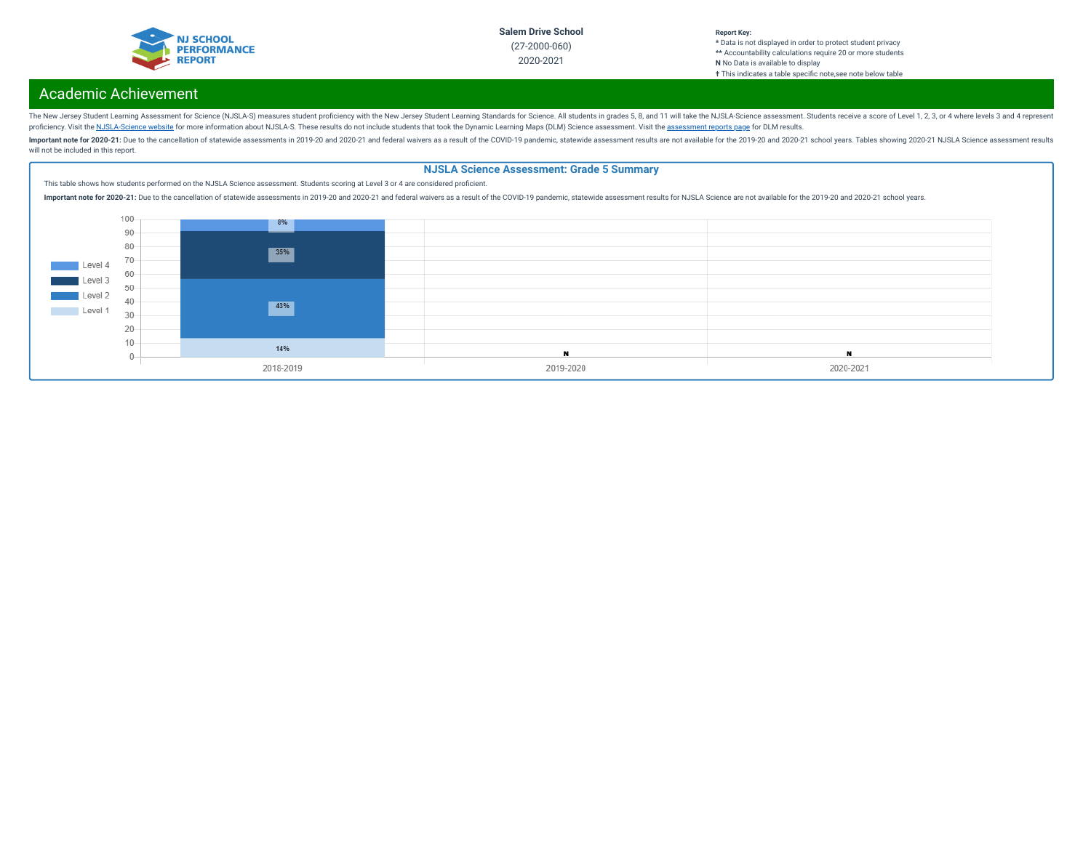

#### **Report Key: \*** Data is not displayed in order to protect student privacy **\*\*** Accountability calculations require 20 or more students **N** No Data is available to display **†** This indicates a table specic note,see note below table

# Academic Achievement

The New Jersey Student Learning Assessment for Science (NJSLA-S) measures student proficiency with the New Jersey Student Learning Standards for Science. All students in grades 5, 8, and 11 will take the NJSLA-Science asse proficiency. Visit the [NJSLA-Science](https://www.nj.gov/education/assessment/resources/science/) website for more information about NJSLA-S. These results do not include students that took the Dynamic Learning Maps (DLM) Science [assessment](https://www.nj.gov/education/schools/achievement/). Visit the assessment reports page for DLM

Important note for 2020-21: Due to the cancellation of statewide assessments in 2019-20 and 2020-21 and federal waivers as a result of the COVID-19 pandemic, statewide assessment results are not available for the 2019-20 a will not be included in this report.

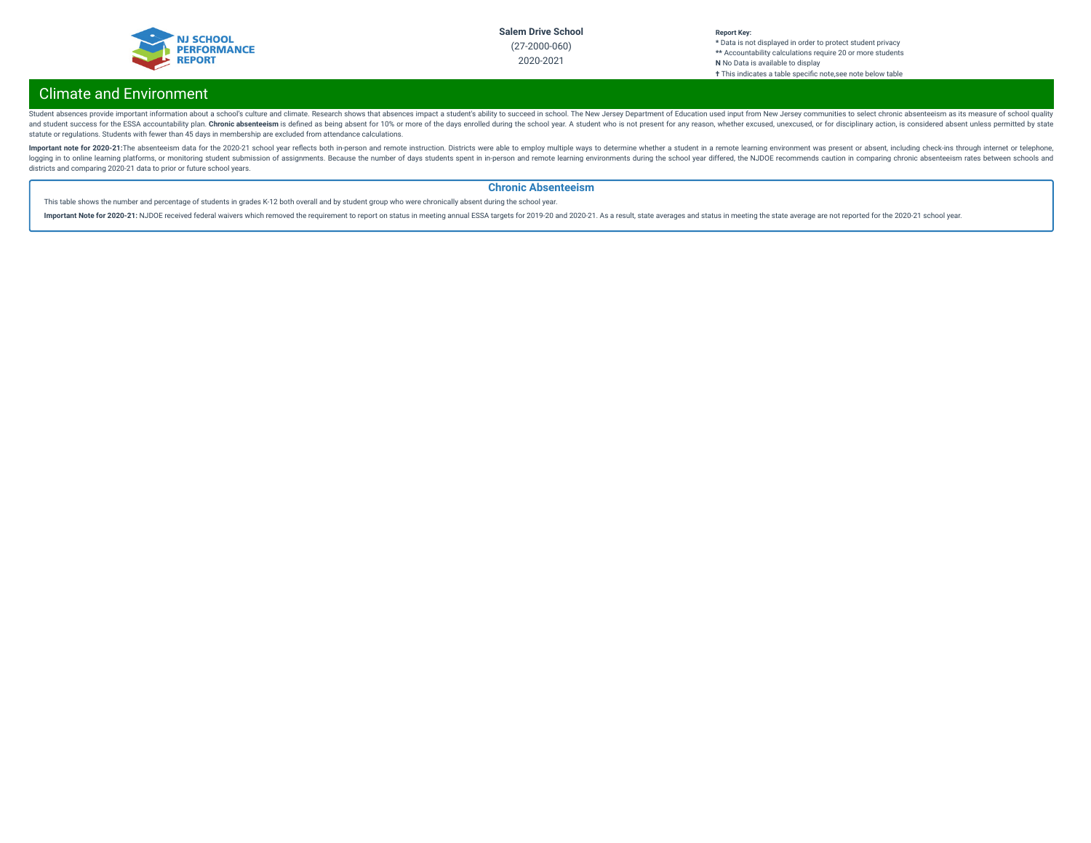

#### **Report Key: \*** Data is not displayed in order to protect student privacy **\*\*** Accountability calculations require 20 or more students **N** No Data is available to display **†** This indicates a table specic note,see note below table

# Climate and Environment

Student absences provide important information about a school's culture and climate. Research shows that absences impact a student's ability to succeed in school. The New Jersey Department of Education used input from New and student success for the ESSA accountability plan. Chronic absenteeism is defined as being absent for 10% or more of the days enrolled during the school year. A student who is not present for any reason, whether excused statute or regulations. Students with fewer than 45 days in membership are excluded from attendance calculations.

Important note for 2020-21:The absenteeism data for the 2020-21 school year reflects both in-person and remote instruction. Districts were able to employ multiple ways to determine whether a student in a remote learning en logging in to online learning platforms, or monitoring student submission of assignments. Because the number of days students spent in in-person and remote learning environments during the school year differed, the NJDOE r districts and comparing 2020-21 data to prior or future school years.

### **Chronic Absenteeism**

This table shows the number and percentage of students in grades K-12 both overall and by student group who were chronically absent during the school year.

Important Note for 2020-21: NJDOE received federal waivers which removed the requirement to report on status in meeting annual ESSA targets for 2019-20 and 2020-21. As a result, state averages and status in meeting the sta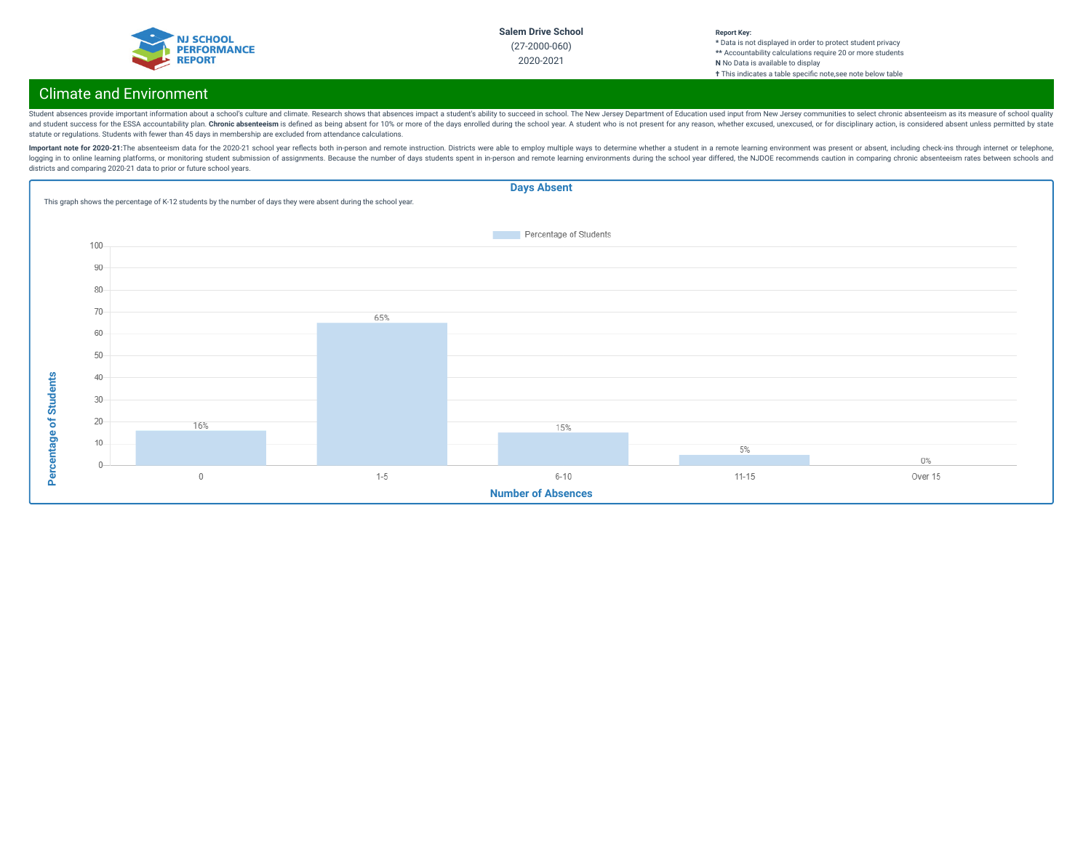

#### **Report Key: \*** Data is not displayed in order to protect student privacy **\*\*** Accountability calculations require 20 or more students **N** No Data is available to display **†** This indicates a table specic note,see note below table

# Climate and Environment

Student absences provide important information about a school's culture and climate. Research shows that absences impact a student's ability to succeed in school. The New Jersey Department of Education used input from New and student success for the ESSA accountability plan. Chronic absenteeism is defined as being absent for 10% or more of the days enrolled during the school year. A student who is not present for any reason, whether excused statute or regulations. Students with fewer than 45 days in membership are excluded from attendance calculations.

Important note for 2020-21:The absenteeism data for the 2020-21 school year reflects both in-person and remote instruction. Districts were able to employ multiple ways to determine whether a student in a remote learning en logging in to online learning platforms, or monitoring student submission of assignments. Because the number of days students spent in in-person and remote learning environments during the school year differed, the NJDOE r districts and comparing 2020-21 data to prior or future school years.

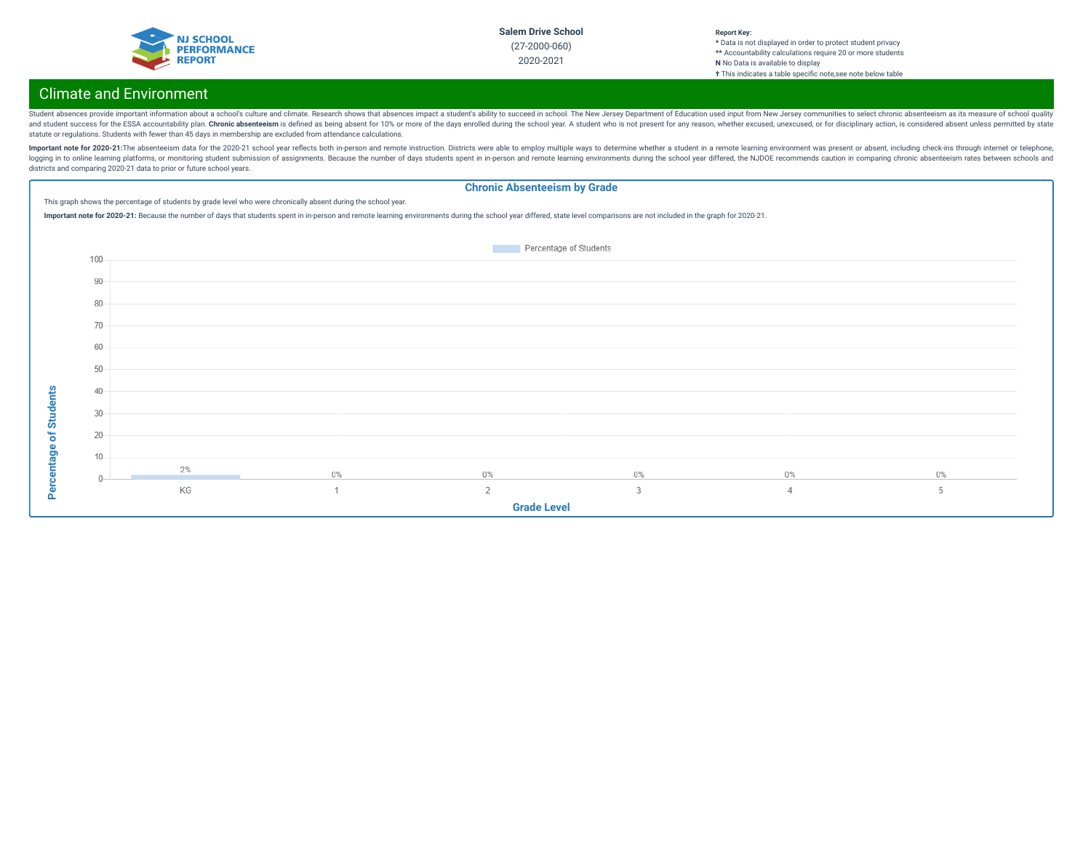

#### **Report Key: \*** Data is not displayed in order to protect student privacy **\*\*** Accountability calculations require 20 or more students **N** No Data is available to display **†** This indicates a table specic note,see note below table

# Climate and Environment

Student absences provide important information about a school's culture and climate. Research shows that absences impact a student's ability to succeed in school. The New Jersey Department of Education used input from New and student success for the ESSA accountability plan. Chronic absenteeism is defined as being absent for 10% or more of the days enrolled during the school year. A student who is not present for any reason, whether excused statute or regulations. Students with fewer than 45 days in membership are excluded from attendance calculations.

Important note for 2020-21:The absenteeism data for the 2020-21 school year reflects both in-person and remote instruction. Districts were able to employ multiple ways to determine whether a student in a remote learning en logging in to online learning platforms, or monitoring student submission of assignments. Because the number of days students spent in in-person and remote learning environments during the school year differed, the NJDOE r districts and comparing 2020-21 data to prior or future school years.

### **Chronic Absenteeism by Grade**

This graph shows the percentage of students by grade level who were chronically absent during the school year.

Important note for 2020-21: Because the number of days that students spent in in-person and remote learning environments during the school year differed, state level comparisons are not included in the graph for 2020-21.

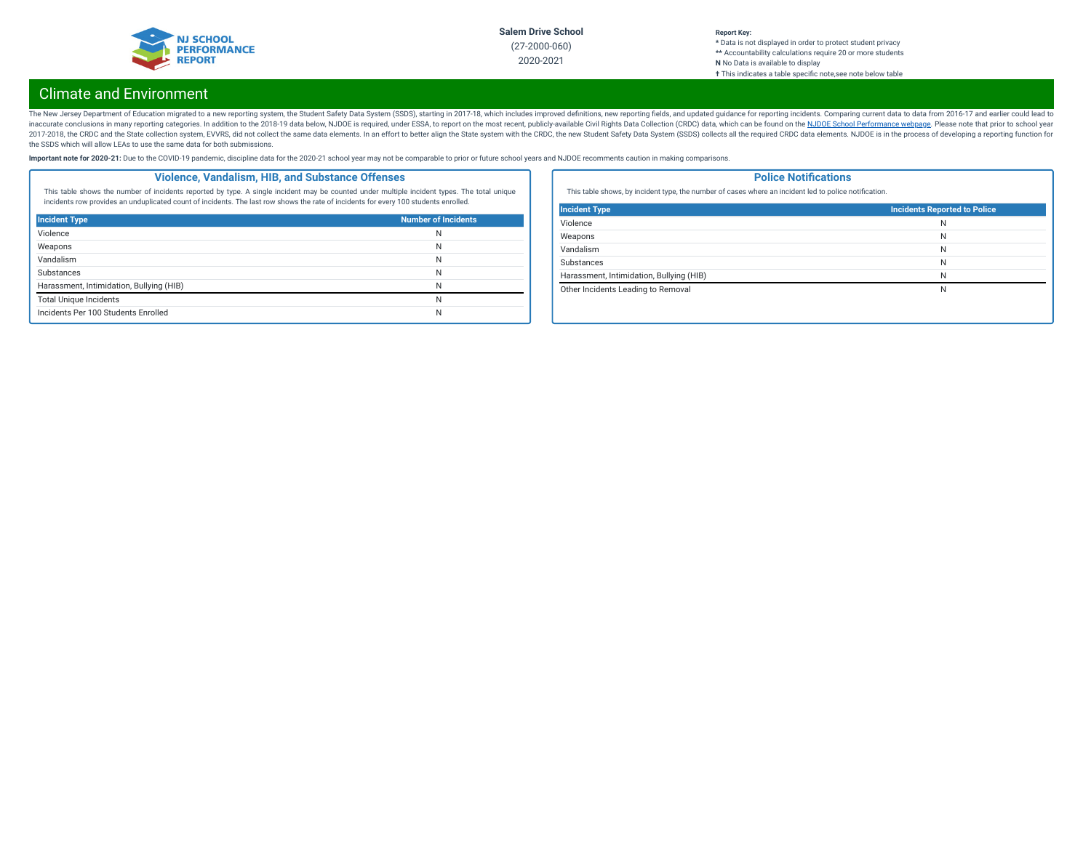

#### **Report Key: \*** Data is not displayed in order to protect student privacy **\*\*** Accountability calculations require 20 or more students **N** No Data is available to display **†** This indicates a table specic note,see note below table

# Climate and Environment

The New Jersey Department of Education migrated to a new reporting system, the Student Safety Data System (SSDS), starting in 2017-18, which includes improved definitions, new reporting fields, and updated guidance for rep inaccurate conclusions in many reporting categories. In addition to the 2018-19 data below, NJDOE is required, under ESSA, to report on the most recent, publicly-available Civil Rights Data Collection (CRDC) data, which ca 2017-2018, the CRDC and the State collection system, EVVRS, did not collect the same data elements. In an effort to better align the State system with the CRDC, the new Student Safety Data System (SSDS) collects all the re the SSDS which will allow LEAs to use the same data for both submissions.

Important note for 2020-21: Due to the COVID-19 pandemic, discipline data for the 2020-21 school year may not be comparable to prior or future school years and NJDOE recomments caution in making comparisons.

### **Violence, Vandalism, HIB, and Substance Offenses**

This table shows the number of incidents reported by type. A single incident may be counted under multiple incident types. The total unique incidents row provides an unduplicated count of incidents. The last row shows the rate of incidents for every 100 students enrolled.

| <b>Incident Type</b>                     | <b>Number of Incidents</b> |
|------------------------------------------|----------------------------|
| Violence                                 | N                          |
| Weapons                                  | N                          |
| Vandalism                                | N                          |
| Substances                               | N                          |
| Harassment, Intimidation, Bullying (HIB) | N                          |
| <b>Total Unique Incidents</b>            | N                          |
| Incidents Per 100 Students Enrolled      | N                          |

### **Police Notifications**

This table shows, by incident type, the number of cases where an incident led to police notification.

| <b>Incident Type</b>                     | Incidents Reported to Police |
|------------------------------------------|------------------------------|
| Violence                                 | N                            |
| Weapons                                  | N                            |
| Vandalism                                | N                            |
| <b>Substances</b>                        | N                            |
| Harassment, Intimidation, Bullying (HIB) | N                            |
| Other Incidents Leading to Removal       | N                            |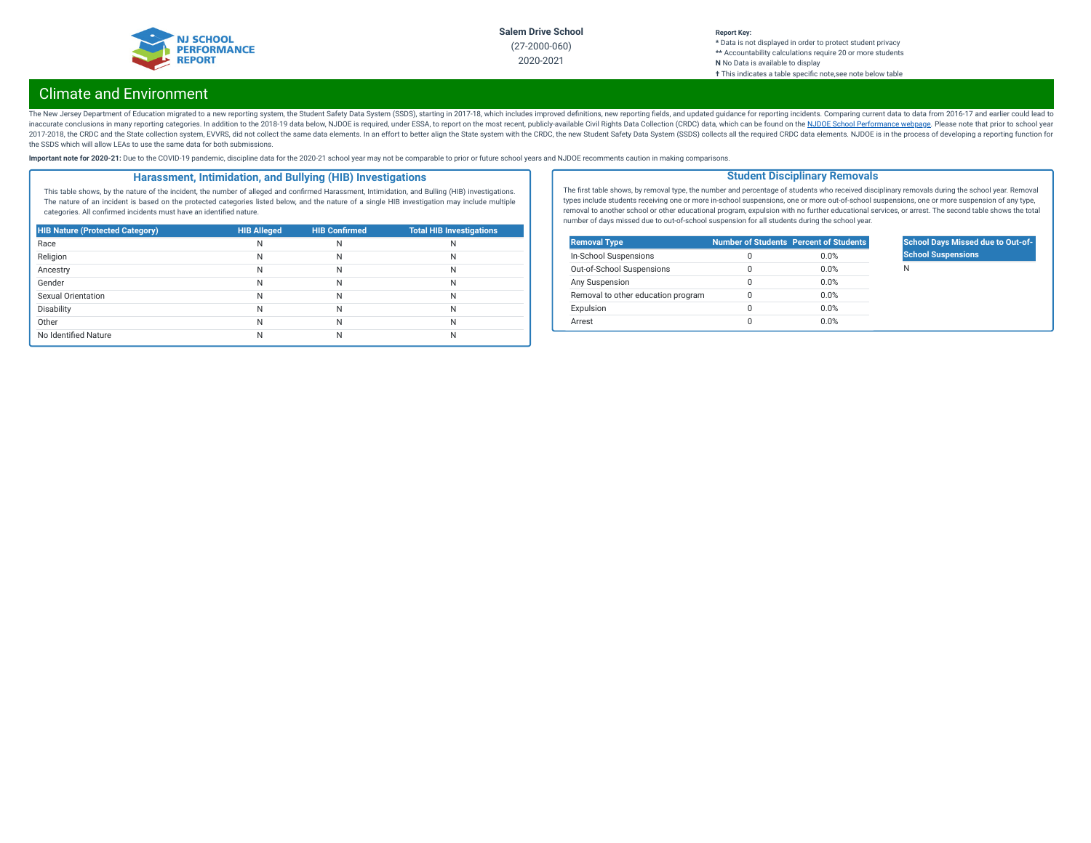

### **Report Key:**

**\*** Data is not displayed in order to protect student privacy **\*\*** Accountability calculations require 20 or more students **N** No Data is available to display **†** This indicates a table specic note,see note below table

# Climate and Environment

The New Jersey Department of Education migrated to a new reporting system, the Student Safety Data System (SSDS), starting in 2017-18, which includes improved definitions, new reporting fields, and updated guidance for rep inaccurate conclusions in many reporting categories. In addition to the 2018-19 data below, NJDOE is required, under ESSA, to report on the most recent, publicly-available Civil Rights Data Collection (CRDC) data, which ca 2017-2018, the CRDC and the State collection system, EVVRS, did not collect the same data elements. In an effort to better align the State system with the CRDC, the new Student Safety Data System (SSDS) collects all the re the SSDS which will allow LEAs to use the same data for both submissions.

Important note for 2020-21: Due to the COVID-19 pandemic, discipline data for the 2020-21 school year may not be comparable to prior or future school years and NJDOE recomments caution in making comparisons.

### **Harassment, Intimidation, and Bullying (HIB) Investigations**

This table shows, by the nature of the incident, the number of alleged and confirmed Harassment, Intimidation, and Bulling (HIB) investigations. The nature of an incident is based on the protected categories listed below, and the nature of a single HIB investigation may include multiple categories. All confirmed incidents must have an identified nature.

| <b>HIB Nature (Protected Category)</b> | <b>HIB Alleged</b> | <b>HIB Confirmed</b> | <b>Total HIB Investigations</b> |
|----------------------------------------|--------------------|----------------------|---------------------------------|
| Race                                   | Ν                  | N                    | N                               |
| Religion                               | N                  | N                    | N                               |
| Ancestry                               | N                  | N                    | N                               |
| Gender                                 | Ν                  | N                    | N                               |
| Sexual Orientation                     | N                  | N                    | N                               |
| Disability                             | Ν                  | N                    | N                               |
| Other                                  | Ν                  | N                    | N                               |
| No Identified Nature                   |                    | N                    | N                               |

The first table shows, by removal type, the number and percentage of students who received disciplinary removals during the school year. Removal types include students receiving one or more in-school suspensions, one or more out-of-school suspensions, one or more suspension of any type, removal to another school or other educational program, expulsion with no further educational services, or arrest. The second table shows the total number of days missed due to out-of-school suspension for all students during the school year.

**Student Disciplinary Removals**

| <b>Removal Type</b>                |   | <b>Number of Students Percent of Students</b> |
|------------------------------------|---|-----------------------------------------------|
| In-School Suspensions              | Ω | 0.0%                                          |
| Out-of-School Suspensions          | 0 | 0.0%                                          |
| Any Suspension                     | 0 | 0.0%                                          |
| Removal to other education program | Ω | 0.0%                                          |
| Expulsion                          | 0 | 0.0%                                          |
| Arrest                             | Ω | 0.0%                                          |

### **School Days Missed due to Out-of-School Suspensions**

N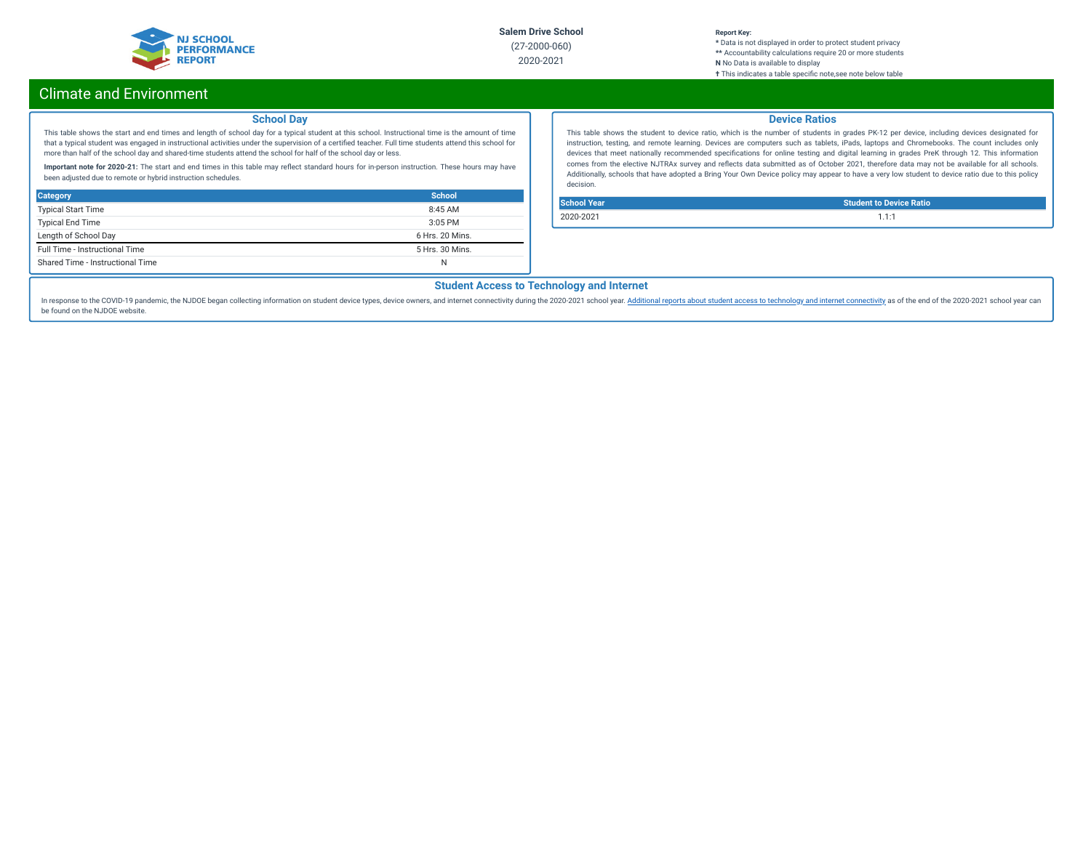

#### **Report Key:**

**\*** Data is not displayed in order to protect student privacy **\*\*** Accountability calculations require 20 or more students **N** No Data is available to display **†** This indicates a table specic note,see note below table

# Climate and Environment

### **School Day**

This table shows the start and end times and length of school day for a typical student at this school. Instructional time is the amount of time that a typical student was engaged in instructional activities under the supervision of a certified teacher. Full time students attend this school for more than half of the school day and shared-time students attend the school for half of the school day or less.

Important note for 2020-21: The start and end times in this table may reflect standard hours for in-person instruction. These hours may have been adjusted due to remote or hybrid instruction schedules.

| <b>Category</b>                  | School          |
|----------------------------------|-----------------|
| <b>Typical Start Time</b>        | 8:45AM          |
| <b>Typical End Time</b>          | $3:05$ PM       |
| Length of School Day             | 6 Hrs. 20 Mins. |
| Full Time - Instructional Time   | 5 Hrs. 30 Mins. |
| Shared Time - Instructional Time | N               |

### **Device Ratios**

This table shows the student to device ratio, which is the number of students in grades PK-12 per device, including devices designated for instruction, testing, and remote learning. Devices are computers such as tablets, iPads, laptops and Chromebooks. The count includes only devices that meet nationally recommended specifications for online testing and digital learning in grades PreK through 12. This information comes from the elective NJTRAx survey and reflects data submitted as of October 2021, therefore data may not be available for all schools. Additionally, schools that have adopted a Bring Your Own Device policy may appear to have a very low student to device ratio due to this policy decision.

| <b>School Year</b> | <b>Student to Device Ratio</b> |
|--------------------|--------------------------------|
| 2020-2021          | 1.1.1                          |

## **Student Access to Technology and Internet**

In response to the COVID-19 pandemic, the NJDOE began collecting information on student device types, device owners, and internet [connectivity](https://www.nj.gov/education/schoolperformance/climate/docs/2020-2021%20Opportunity%20to%20Learn%20Data.xlsx) during the 2020-2021 school year. Additional reports about student access to te be found on the NJDOE website.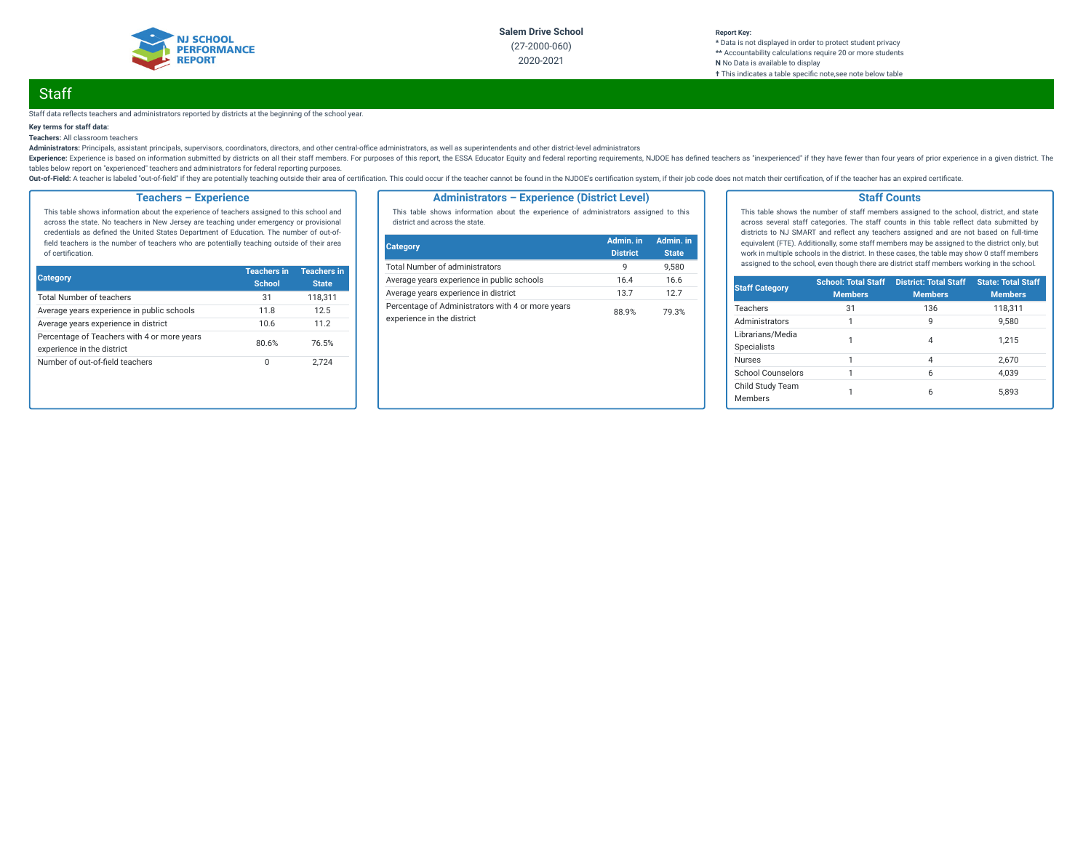

#### **Report Key: \*** Data is not displayed in order to protect student privacy **\*\*** Accountability calculations require 20 or more students **N** No Data is available to display **†** This indicates a table specic note,see note below table

# **Staff**

#### Staff data reflects teachers and administrators reported by districts at the beginning of the school year.

### **Key terms for staff data:**

**Teachers:** All classroom teachers

Administrators: Principals, assistant principals, supervisors, coordinators, directors, and other central-office administrators, as well as superintendents and other district-level administrators

Experience: Experience is based on information submitted by districts on all their staff members. For purposes of this report, the ESSA Educator Equity and federal reporting requirements, NJDOE has defined teachers as "ine tables below report on "experienced" teachers and administrators for federal reporting purposes.

Out-of-Field: A teacher is labeled "out-of-field" if they are potentially teaching outside their area of certification. This could occur if the teacher cannot be found in the NJDOE's certification system, if their job code

### **Teachers – Experience**

This table shows information about the experience of teachers assigned to this school and across the state. No teachers in New Jersey are teaching under emergency or provisional credentials as defined the United States Department of Education. The number of out-offield teachers is the number of teachers who are potentially teaching outside of their area of certification.

| <b>Category</b>                                                           | <b>Teachers in</b><br><b>School</b> | <b>Teachers in</b><br><b>State</b> |
|---------------------------------------------------------------------------|-------------------------------------|------------------------------------|
| <b>Total Number of teachers</b>                                           | 31                                  | 118,311                            |
| Average years experience in public schools                                | 11.8                                | 12.5                               |
| Average years experience in district                                      | 10.6                                | 11.2                               |
| Percentage of Teachers with 4 or more years<br>experience in the district | 80.6%                               | 76.5%                              |
| Number of out-of-field teachers                                           | 0                                   | 2.724                              |

### **Administrators – Experience (District Level)**

This table shows information about the experience of administrators assigned to this district and across the state.

| Category                                                                        | Admin. in<br><b>District</b> | Admin. in<br><b>State</b> |
|---------------------------------------------------------------------------------|------------------------------|---------------------------|
| <b>Total Number of administrators</b>                                           | q                            | 9.580                     |
| Average years experience in public schools                                      | 16.4                         | 16.6                      |
| Average years experience in district                                            | 137                          | 127                       |
| Percentage of Administrators with 4 or more years<br>experience in the district | 88.9%                        | 79.3%                     |

### **Staff Counts**

This table shows the number of staff members assigned to the school, district, and state across several staff categories. The staff counts in this table reflect data submitted by districts to NJ SMART and reflect any teachers assigned and are not based on full-time equivalent (FTE). Additionally, some staff members may be assigned to the district only, but work in multiple schools in the district. In these cases, the table may show 0 staff members assigned to the school, even though there are district staff members working in the school.

| <b>Staff Category</b>                  | <b>School: Total Staff</b><br><b>Members</b> | <b>District: Total Staff</b><br><b>Members</b> | <b>State: Total Staff</b><br><b>Members</b> |
|----------------------------------------|----------------------------------------------|------------------------------------------------|---------------------------------------------|
| Teachers                               | 31                                           | 136                                            | 118,311                                     |
| Administrators                         | 1                                            | 9                                              | 9.580                                       |
| Librarians/Media<br><b>Specialists</b> |                                              | 4                                              | 1.215                                       |
| <b>Nurses</b>                          |                                              | 4                                              | 2.670                                       |
| School Counselors                      | 1                                            | 6                                              | 4.039                                       |
| Child Study Team<br>Members            |                                              | 6                                              | 5.893                                       |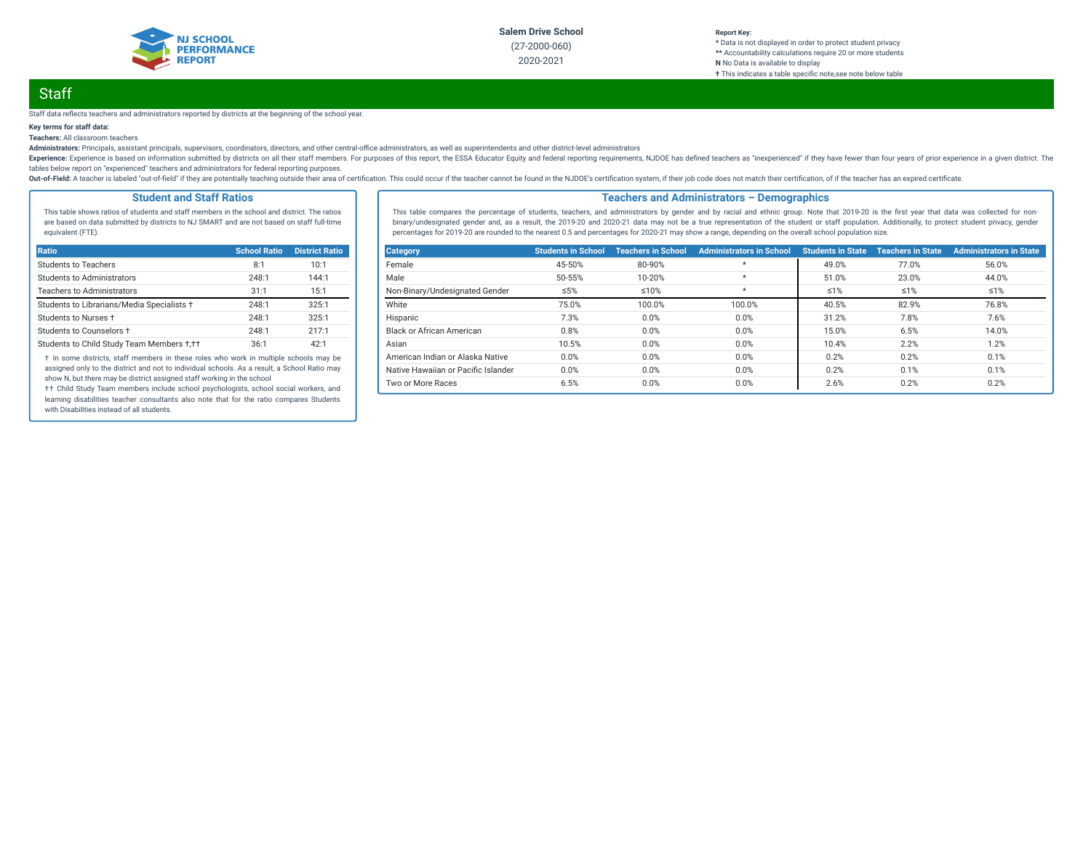

#### **Report Key: \*** Data is not displayed in order to protect student privacy **\*\*** Accountability calculations require 20 or more students **N** No Data is available to display **†** This indicates a table specic note,see note below table

# **Staff**

#### Staff data reflects teachers and administrators reported by districts at the beginning of the school year.

### **Key terms for staff data:**

**Teachers:** All classroom teachers

Administrators: Principals, assistant principals, supervisors, coordinators, directors, and other central-office administrators, as well as superintendents and other district-level administrators

Experience: Experience is based on information submitted by districts on all their staff members. For purposes of this report, the ESSA Educator Equity and federal reporting requirements, NJDOE has defined teachers as "ine tables below report on "experienced" teachers and administrators for federal reporting purposes.

Out-of-Field: A teacher is labeled "out-of-field" if they are potentially teaching outside their area of certification. This could occur if the teacher cannot be found in the NJDOE's certification system, if their job code

### **Student and Staff Ratios**

This table shows ratios of students and staff members in the school and district. The ratios are based on data submitted by districts to NJ SMART and are not based on staff full-time equivalent (FTE).

| Ratio                                      | <b>School Ratio</b> | <b>District Ratio</b> |
|--------------------------------------------|---------------------|-----------------------|
| Students to Teachers                       | 8:1                 | 10:1                  |
| <b>Students to Administrators</b>          | 248:1               | 144:1                 |
| <b>Teachers to Administrators</b>          | 31:1                | 15:1                  |
| Students to Librarians/Media Specialists + | 248:1               | 325:1                 |
| Students to Nurses +                       | 248:1               | 325:1                 |
| Students to Counselors +                   | 248:1               | 217:1                 |
| Students to Child Study Team Members +,++  | 36:1                | 42:1                  |

† In some districts, staff members in these roles who work in multiple schools may be assigned only to the district and not to individual schools. As a result, a School Ratio may show N, but there may be district assigned staff working in the school

†† Child Study Team members include school psychologists, school social workers, and learning disabilities teacher consultants also note that for the ratio compares Students with Disabilities instead of all students.

### **Teachers and Administrators – Demographics**

This table compares the percentage of students, teachers, and administrators by gender and by racial and ethnic group. Note that 2019-20 is the first year that data was collected for nonbinary/undesignated gender and, as a result, the 2019-20 and 2020-21 data may not be a true representation of the student or staff population. Additionally, to protect student privacy, gender percentages for 2019-20 are rounded to the nearest 0.5 and percentages for 2020-21 may show a range, depending on the overall school population size.

| <b>Category</b>                     | <b>Students in School</b> | <b>Teachers in School</b> | <b>Administrators in School</b> | <b>Students in State</b> | <b>Teachers in State</b> | <b>Administrators in State</b> |
|-------------------------------------|---------------------------|---------------------------|---------------------------------|--------------------------|--------------------------|--------------------------------|
| Female                              | 45-50%                    | 80-90%                    | $\star$                         | 49.0%                    | 77.0%                    | 56.0%                          |
| Male                                | 50-55%                    | 10-20%                    | $\star$                         | 51.0%                    | 23.0%                    | 44.0%                          |
| Non-Binary/Undesignated Gender      | ≤5%                       | $≤10%$                    | $\star$                         | $\leq 1\%$               | $\leq 1\%$               | $\leq 1\%$                     |
| White                               | 75.0%                     | 100.0%                    | 100.0%                          | 40.5%                    | 82.9%                    | 76.8%                          |
| Hispanic                            | 7.3%                      | 0.0%                      | 0.0%                            | 31.2%                    | 7.8%                     | 7.6%                           |
| Black or African American           | 0.8%                      | 0.0%                      | 0.0%                            | 15.0%                    | 6.5%                     | 14.0%                          |
| Asian                               | 10.5%                     | 0.0%                      | 0.0%                            | 10.4%                    | 2.2%                     | 1.2%                           |
| American Indian or Alaska Native    | 0.0%                      | 0.0%                      | 0.0%                            | 0.2%                     | 0.2%                     | 0.1%                           |
| Native Hawaiian or Pacific Islander | 0.0%                      | 0.0%                      | 0.0%                            | 0.2%                     | 0.1%                     | 0.1%                           |
| Two or More Races                   | 6.5%                      | 0.0%                      | 0.0%                            | 2.6%                     | 0.2%                     | 0.2%                           |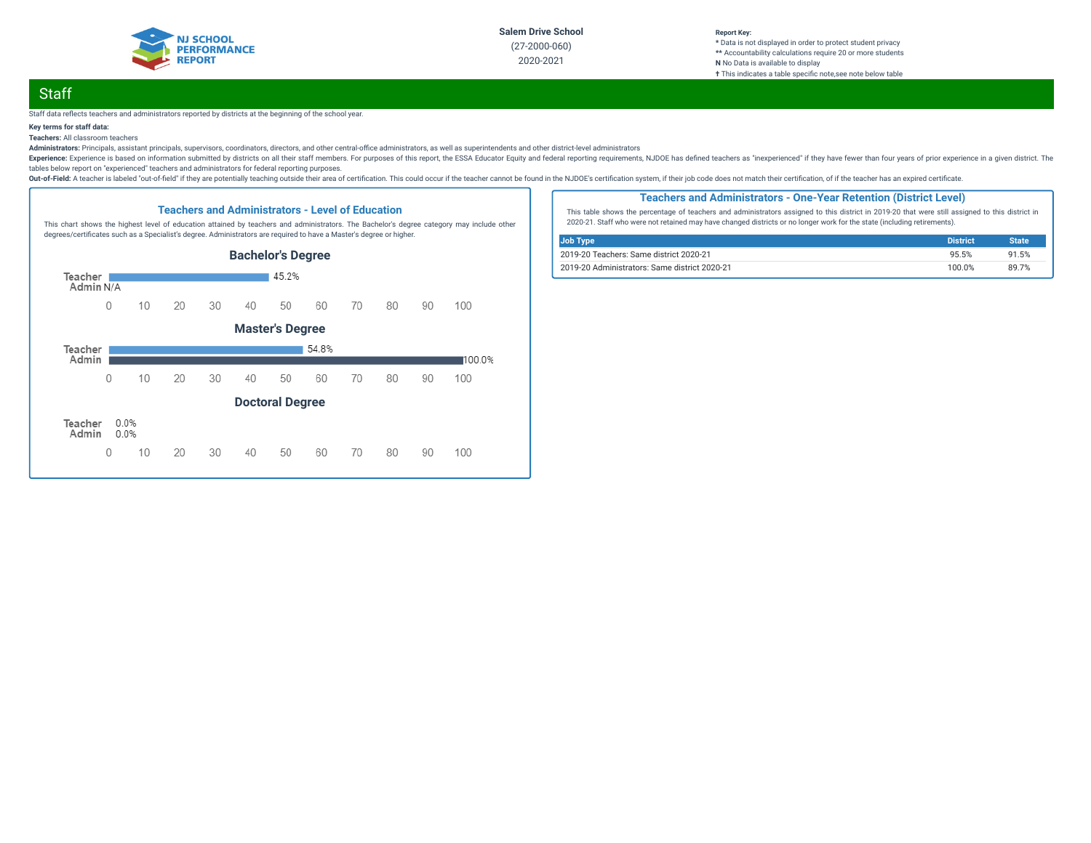

#### **Report Key: \*** Data is not displayed in order to protect student privacy **\*\*** Accountability calculations require 20 or more students **N** No Data is available to display **†** This indicates a table specic note,see note below table

# **Staff**

#### Staff data reflects teachers and administrators reported by districts at the beginning of the school year.

### **Key terms for staff data:**

### **Teachers:** All classroom teachers

Administrators: Principals, assistant principals, supervisors, coordinators, directors, and other central-office administrators, as well as superintendents and other district-level administrators

Experience: Experience is based on information submitted by districts on all their staff members. For purposes of this report, the ESSA Educator Equity and federal reporting requirements, NJDOE has defined teachers as "ine tables below report on "experienced" teachers and administrators for federal reporting purposes.

Out-of-Field: A teacher is labeled "out-of-field" if they are potentially teaching outside their area of certification. This could occur if the teacher cannot be found in the NJDOE's certification system, if their job code



### **Teachers and Administrators - One-Year Retention (District Level)**

This table shows the percentage of teachers and administrators assigned to this district in 2019-20 that were still assigned to this district in 2020-21. Staff who were not retained may have changed districts or no longer work for the state (including retirements).

| Job Type                                      | <b>District</b> | <b>State</b> |
|-----------------------------------------------|-----------------|--------------|
| 2019-20 Teachers: Same district 2020-21       | 95.5%           | 91.5%        |
| 2019-20 Administrators: Same district 2020-21 | 100.0%          | 89 7%        |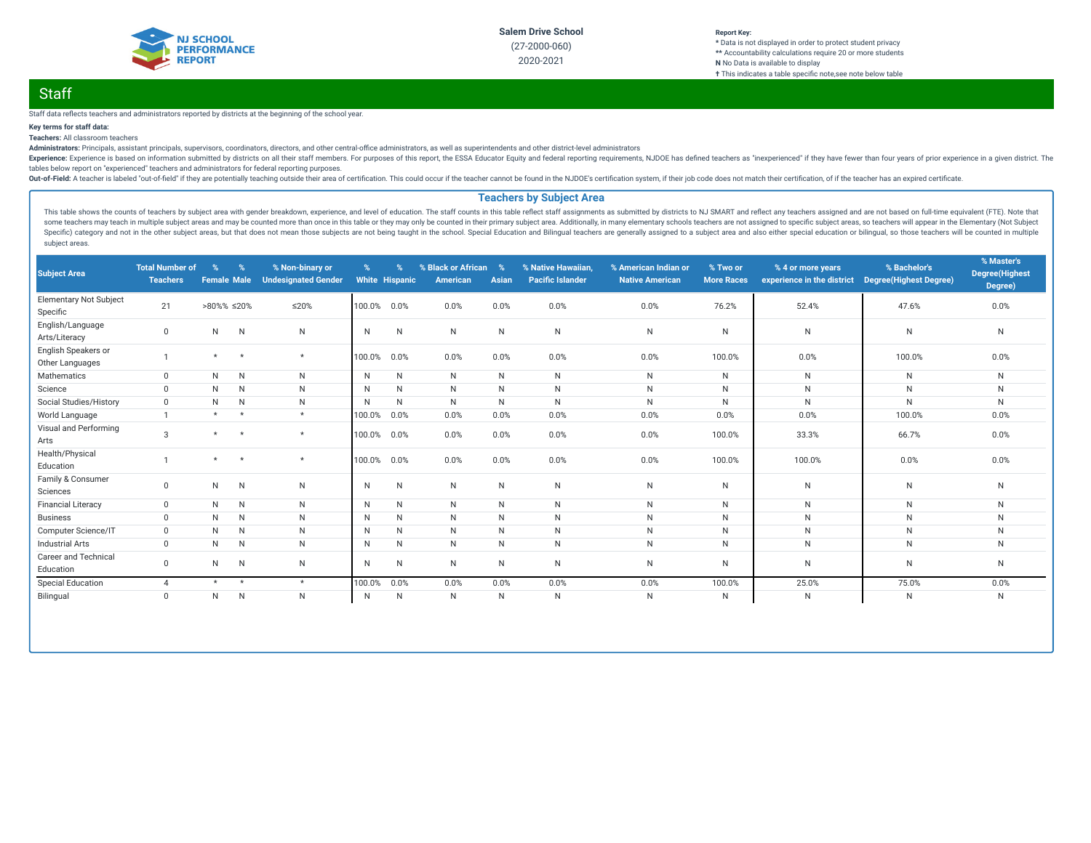

#### **Report Key: \*** Data is not displayed in order to protect student privacy **\*\*** Accountability calculations require 20 or more students **N** No Data is available to display **†** This indicates a table specific note, see note below table

# **Staff**

Staff data reflects teachers and administrators reported by districts at the beginning of the school year.

### **Key terms for staff data:**

**Teachers:** All classroom teachers

Administrators: Principals, assistant principals, supervisors, coordinators, directors, and other central-office administrators, as well as superintendents and other district-level administrators

Experience: Experience is based on information submitted by districts on all their staff members. For purposes of this report, the ESSA Educator Equity and federal reporting requirements, NJDOE has defined teachers as "ine tables below report on "experienced" teachers and administrators for federal reporting purposes.

Out-of-Field: A teacher is labeled "out-of-field" if they are potentially teaching outside their area of certification. This could occur if the teacher cannot be found in the NJDOE's certification system, if their job code

### **Teachers by Subject Area**

This table shows the counts of teachers by subject area with gender breakdown, experience, and level of education. The staff counts in this table reflect staff assignments as submitted by districts to NJ SMART and reflect some teachers may teach in multiple subject areas and may be counted more than once in this table or they may only be counted in their primary subject area. Additionally, in many elementary schools teachers are not assigne Specific) category and not in the other subject areas, but that does not mean those subjects are not being taught in the school. Special Education and Bilingual teachers are generally assigned to a subject area and also ei subject areas.

| <b>Subject Area</b>                       | <b>Total Number of</b><br><b>Teachers</b> | $\%$<br><b>Female Male</b> | $\%$         | % Non-binary or<br><b>Undesignated Gender</b> | $\%$         | %<br><b>White Hispanic</b> | % Black or African<br>American | $\%$<br>Asian | % Native Hawaiian,<br><b>Pacific Islander</b> | % American Indian or<br><b>Native American</b> | % Two or<br><b>More Races</b> | % 4 or more years<br>experience in the district | % Bachelor's<br><b>Degree(Highest Degree)</b> | % Master's<br><b>Degree</b> (Highest<br>Degree) |
|-------------------------------------------|-------------------------------------------|----------------------------|--------------|-----------------------------------------------|--------------|----------------------------|--------------------------------|---------------|-----------------------------------------------|------------------------------------------------|-------------------------------|-------------------------------------------------|-----------------------------------------------|-------------------------------------------------|
| <b>Elementary Not Subject</b><br>Specific | 21                                        | >80%% ≤20%                 |              | $\leq$ 20%                                    | 100.0%       | 0.0%                       | 0.0%                           | 0.0%          | 0.0%                                          | 0.0%                                           | 76.2%                         | 52.4%                                           | 47.6%                                         | 0.0%                                            |
| English/Language<br>Arts/Literacy         | $\mathbf{0}$                              | N                          | N            | N                                             | $\mathsf{N}$ | N                          | N                              | $\mathsf{N}$  | ${\sf N}$                                     | $\mathsf{N}$                                   | N                             | N                                               | $\mathsf{N}$                                  | ${\sf N}$                                       |
| English Speakers or<br>Other Languages    |                                           | $\star$                    | $\star$      | $\star$                                       | 100.0%       | 0.0%                       | 0.0%                           | 0.0%          | 0.0%                                          | 0.0%                                           | 100.0%                        | 0.0%                                            | 100.0%                                        | 0.0%                                            |
| Mathematics                               | $\Omega$                                  | N                          | N            | N                                             | N            | N                          | N.                             | N             | $\mathsf{N}$                                  | N                                              | N                             | N                                               | N                                             | N                                               |
| Science                                   | $\Omega$                                  | N                          | N            | N                                             | N            | N                          | N                              | $\mathsf{N}$  | N                                             | $\sf N$                                        | N                             | N                                               | $\mathsf{N}$                                  | N                                               |
| Social Studies/History                    | $\mathbf{0}$                              | N                          | N            | N                                             | N            | N                          | N                              | N             | N                                             | $\mathsf{N}$                                   | N                             | N                                               | $\mathsf{N}$                                  | N                                               |
| World Language                            |                                           | $\star$                    | $\star$      | $\star$                                       | 100.0%       | 0.0%                       | 0.0%                           | 0.0%          | 0.0%                                          | 0.0%                                           | 0.0%                          | 0.0%                                            | 100.0%                                        | 0.0%                                            |
| Visual and Performing<br>Arts             | $\mathcal{S}$                             | $\star$                    | $\star$      | $\star$                                       | 100.0%       | 0.0%                       | 0.0%                           | 0.0%          | 0.0%                                          | 0.0%                                           | 100.0%                        | 33.3%                                           | 66.7%                                         | 0.0%                                            |
| Health/Physical<br>Education              |                                           | $\star$                    | $\star$      | $\star$                                       | 100.0%       | 0.0%                       | 0.0%                           | 0.0%          | 0.0%                                          | 0.0%                                           | 100.0%                        | 100.0%                                          | 0.0%                                          | 0.0%                                            |
| Family & Consumer<br>Sciences             | $\Omega$                                  | N                          | N            | N                                             | N            | N                          | N                              | $\mathsf{N}$  | $\mathsf{N}$                                  | N                                              | N                             | N                                               | $\mathsf{N}$                                  | N                                               |
| <b>Financial Literacy</b>                 | $\mathbf{0}$                              | N                          | N            | N                                             | N            | N                          | N                              | N             | $\mathsf{N}$                                  | N                                              | N                             | N                                               | N                                             | N                                               |
| <b>Business</b>                           | $\mathbf 0$                               | N                          | N            | N                                             | N            | N                          | N                              | N             | $\mathsf{N}$                                  | N                                              | N                             | N                                               | $\mathsf{N}$                                  | N                                               |
| Computer Science/IT                       | $\mathbf 0$                               | N                          | N            | N                                             | N            | N                          | N                              | N             | N                                             | $\mathsf{N}$                                   | N                             | N                                               | $\mathsf{N}$                                  | $\mathsf{N}$                                    |
| <b>Industrial Arts</b>                    | $\mathbf{0}$                              | N                          | N            | N                                             | N            | N                          | N.                             | N             | N                                             | N                                              | N                             | N                                               | $\mathsf{N}$                                  | N                                               |
| Career and Technical<br>Education         | $\mathbf 0$                               | N                          | N            | N                                             | N            | N                          | N                              | $\mathsf{N}$  | N                                             | N                                              | N                             | N                                               | $\mathsf{N}$                                  | N                                               |
| <b>Special Education</b>                  | $\overline{4}$                            | $\star$                    | $\star$      | $\star$                                       | 100.0%       | 0.0%                       | 0.0%                           | 0.0%          | 0.0%                                          | 0.0%                                           | 100.0%                        | 25.0%                                           | 75.0%                                         | 0.0%                                            |
| Bilingual                                 | $\mathbf 0$                               | N                          | $\mathsf{N}$ | $\mathsf{N}$                                  | N            | N                          | N                              | $\mathsf{N}$  | $\mathsf{N}$                                  | $\mathsf{N}$                                   | N                             | N                                               | $\mathsf{N}$                                  | N                                               |
|                                           |                                           |                            |              |                                               |              |                            |                                |               |                                               |                                                |                               |                                                 |                                               |                                                 |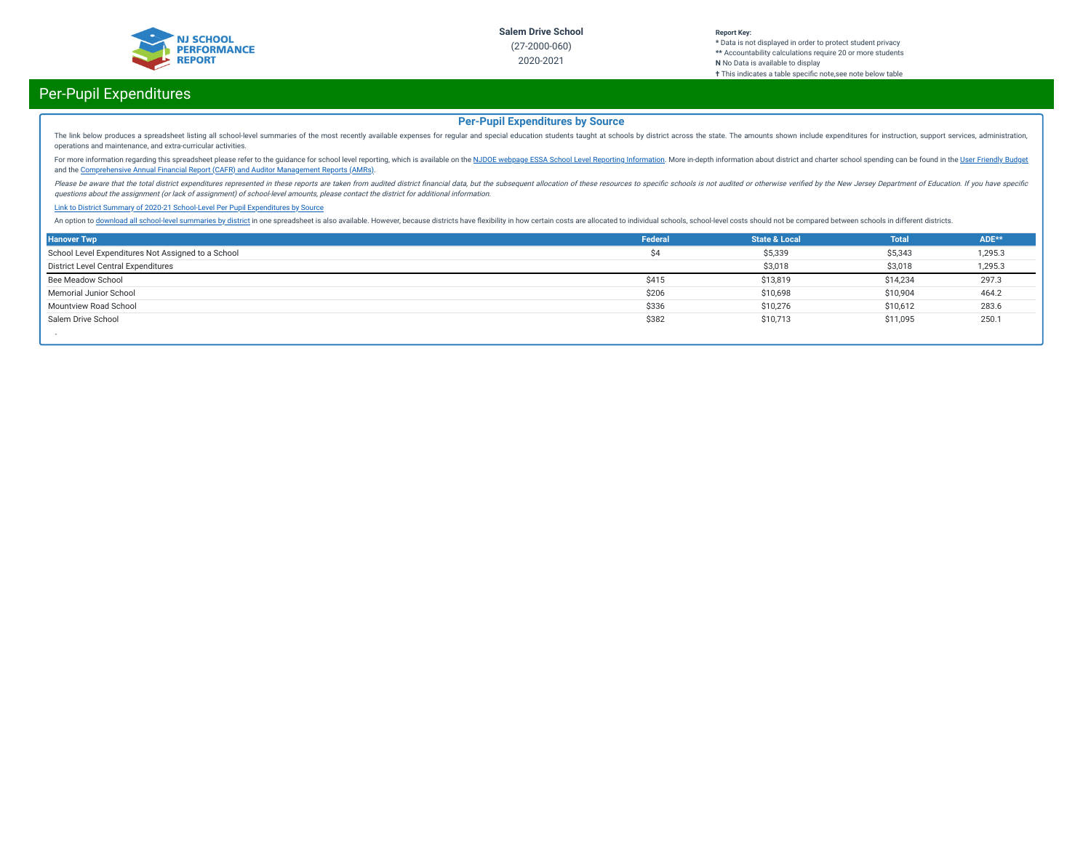

#### **Report Key: \*** Data is not displayed in order to protect student privacy **\*\*** Accountability calculations require 20 or more students **N** No Data is available to display **†** This indicates a table specific note, see note below table

# Per-Pupil Expenditures

## **Per-Pupil Expenditures by Source**

The link below produces a spreadsheet listing all school-level summaries of the most recently available expenses for regular and special education students taught at schools by district across the state. The amounts shown operations and maintenance, and extra-curricular activities.

For more information regarding this spreadsheet please refer to the guidance for school level reporting, which is available on the NJDOE webpage ESSA School Level Reporting [Information](https://www.nj.gov/education/finance/fp/af/essa.shtml). More in-depth information about dist and the [Comprehensive](https://www.nj.gov/education/finance/fp/cafr/search/) Annual Financial Report (CAFR) and Auditor Management Reports (AMRs).

Please be aware that the total district expenditures represented in these reports are taken from audited district financial data, but the subsequent allocation of these resources to specific schools is not audited or other questions about the assignment (or lack of assignment) of school-level amounts, please contact the district for additional information.

#### Link to District Summary of [2020-21 School-Level](https://homeroom4.doe.state.nj.us/audsum/PpeReport?&did=2000&fileformat=html&reportname=PERFORMREPORT&fy=21) Per Pupil Expenditures by Source

An option to download all [school-level](https://homeroom4.doe.state.nj.us/audsum/PpeReport?&did=9999&fileformat=html&reportname=PERFORMREPORT&fy=21) summaries by district in one spreadsheet is also available. However, because districts have flexibility in how certain costs are allocated to individual schools, school-level costs sh

| <b>Hanover Twp</b>                                 | Federal | <b>State &amp; Local</b> | <b>Total</b> | ADE**   |
|----------------------------------------------------|---------|--------------------------|--------------|---------|
| School Level Expenditures Not Assigned to a School | Ś4      | \$5,339                  | \$5,343      | 1,295.3 |
| District Level Central Expenditures                |         | \$3,018                  | \$3,018      | 1,295.3 |
| Bee Meadow School                                  | \$415   | \$13,819                 | \$14,234     | 297.3   |
| Memorial Junior School                             | \$206   | \$10,698                 | \$10,904     | 464.2   |
| Mountview Road School                              | \$336   | \$10,276                 | \$10,612     | 283.6   |
| Salem Drive School                                 | \$382   | \$10,713                 | \$11,095     | 250.1   |
|                                                    |         |                          |              |         |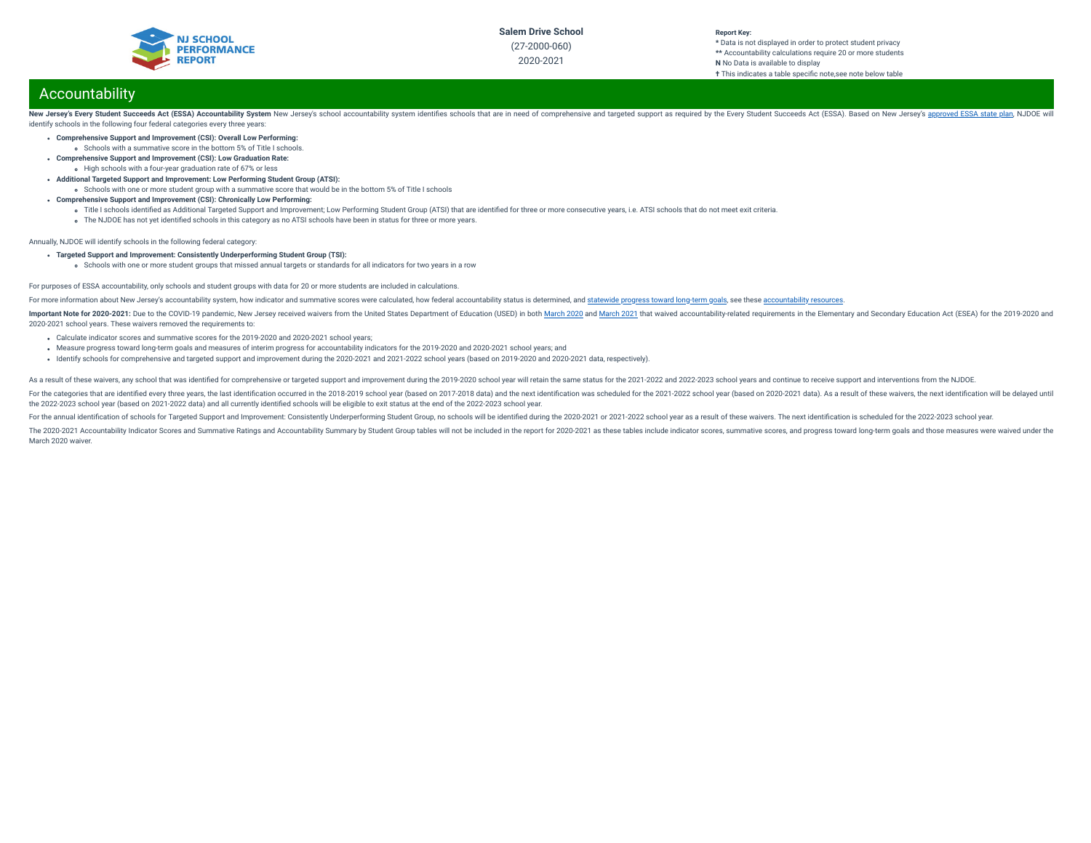

#### **Report Key: \*** Data is not displayed in order to protect student privacy **\*\*** Accountability calculations require 20 or more students **N** No Data is available to display **†** This indicates a table specific note, see note below table

# Accountability

New Jersey's Every Student Succeeds Act (ESSA) Accountability System New Jersey's school accountability system identifies schools that are in need of comprehensive and targeted support as required by the Every Student Succ identify schools in the following four federal categories every three years:

- **Comprehensive Support and Improvement (CSI): Overall Low Performing:**
	- Schools with a summative score in the bottom 5% of Title I schools.
- **Comprehensive Support and Improvement (CSI): Low Graduation Rate:** High schools with a four-year graduation rate of 67% or less
- **Additional Targeted Support and Improvement: Low Performing Student Group (ATSI):**
- Schools with one or more student group with a summative score that would be in the bottom 5% of Title I schools
- **Comprehensive Support and Improvement (CSI): Chronically Low Performing:**
	- o Title I schools identified as Additional Targeted Support and Improvement; Low Performing Student Group (ATSI) that are identified for three or more consecutive years, i.e. ATSI schools that do not meet exit criteria.
	- The NJDOE has not yet identified schools in this category as no ATSI schools have been in status for three or more years.

Annually, NJDOE will identify schools in the following federal category:

- **Targeted Support and Improvement: Consistently Underperforming Student Group (TSI):**
	- schools with one or more student groups that missed annual targets or standards for all indicators for two years in a row

### For purposes of ESSA accountability, only schools and student groups with data for 20 or more students are included in calculations.

For more information about New Jersey's accountability system, how indicator and summative scores were calculated, how federal accountability status is determined, and [statewide](https://www.state.nj.us/education/title1/accountability/progress/19/2018-19%20Statewide%20Progress%20toward%20Long-Term%20Goals.pdf) progress toward long-term goals, see these a

Important Note for 2020-2021: Due to the COVID-19 pandemic, New Jersey received waivers from the United States Department of Education (USED) in both [March](https://oese.ed.gov/files/2021/03/nj-acct-waiver-response-1.pdf) 2020 and March 2021 that waived accountability-related requirement 2020-2021 school years. These waivers removed the requirements to:

- Calculate indicator scores and summative scores for the 2019-2020 and 2020-2021 school years;
- Measure progress toward long-term goals and measures of interim progress for accountability indicators for the 2019-2020 and 2020-2021 school years; and
- Identify schools for comprehensive and targeted support and improvement during the 2020-2021 and 2021-2022 school years (based on 2019-2020 and 2020-2021 data, respectively).

As a result of these waivers, any school that was identified for comprehensive or targeted support and improvement during the 2019-2020 school year will retain the same status for the 2021-2022 and 2022-2023 school years a

For the categories that are identified every three vears, the last identification occurred in the 2018-2019 school year (based on 2017-2018 data) and the next identification was scheduled for the 2021-2022 school year (bas the 2022-2023 school year (based on 2021-2022 data) and all currently identied schools will be eligible to exit status at the end of the 2022-2023 school year.

For the annual identification of schools for Targeted Support and Improvement: Consistently Underperforming Student Group, no schools will be identified during the 2020-2021 or 2021-2022 school year as a result of these wa

The 2020-2021 Accountability Indicator Scores and Summative Ratings and Accountability Summary by Student Group tables will not be included in the report for 2020-2021 as these tables include indicator scores, summative sc March 2020 waiver.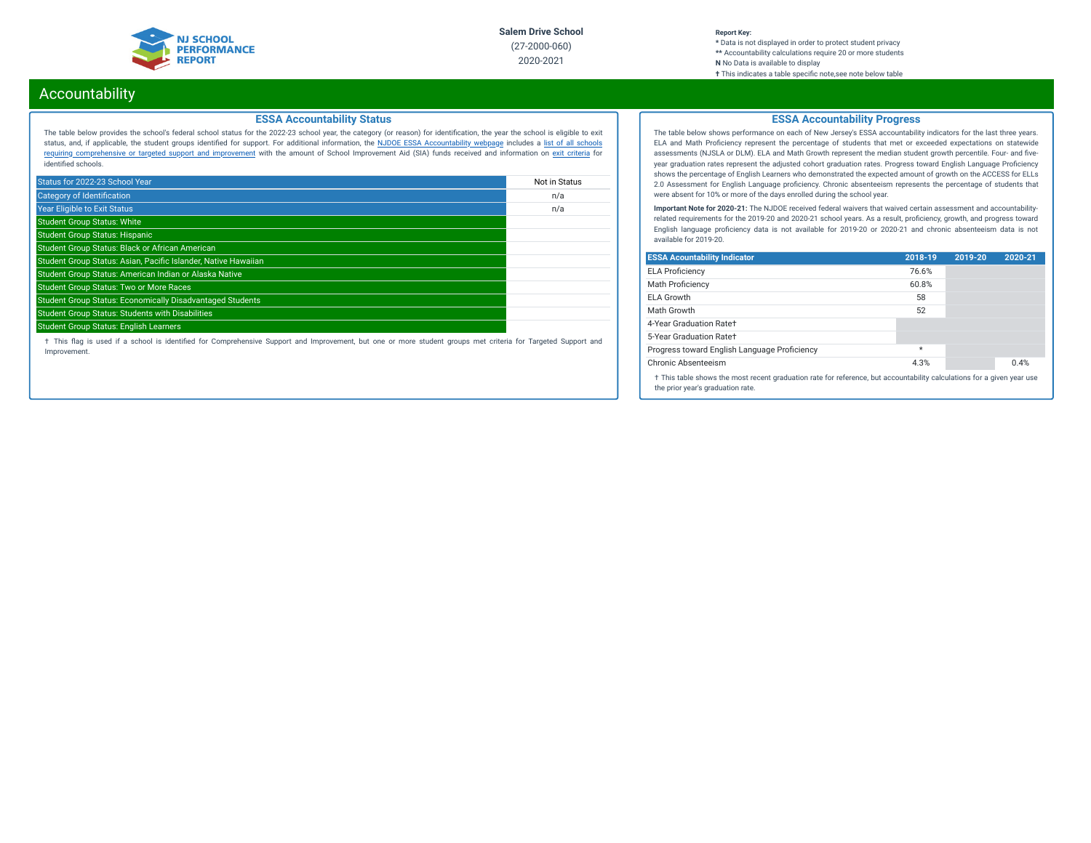

#### **Report Key: \*** Data is not displayed in order to protect student privacy **\*\*** Accountability calculations require 20 or more students **N** No Data is available to display **†** This indicates a table specic note,see note below table

# Accountability

### **ESSA Accountability Status**

The table below provides the school's federal school status for the 2022-23 school year, the category (or reason) for identication, the year the school is eligible to exit status, and, if applicable, the student groups identied for support. For additional information, the NJDOE ESSA [Accountability](https://www.state.nj.us/education/title1/accountability/progress/20/) webpage includes a list of all schools requiring [comprehensive](https://www.state.nj.us/education/title1/accountability/progress/19/CAP%20Comprehensive_Targeted_Schools.xlsx) or targeted support and improvement with the amount of School Improvement Aid (SIA) funds received and information on exit [criteria](https://www.state.nj.us/education/title1/accountability/progress/20/ESSAExitCriteriaDocument.pdf) for identified schools.

| Status for 2022-23 School Year                                   | Not in Status |
|------------------------------------------------------------------|---------------|
| <b>Category of Identification</b>                                | n/a           |
| <b>Year Eligible to Exit Status</b>                              | n/a           |
| <b>Student Group Status: White</b>                               |               |
| <b>Student Group Status: Hispanic</b>                            |               |
| Student Group Status: Black or African American                  |               |
| Student Group Status: Asian, Pacific Islander, Native Hawaiian   |               |
| Student Group Status: American Indian or Alaska Native           |               |
| <b>Student Group Status: Two or More Races</b>                   |               |
| <b>Student Group Status: Economically Disadvantaged Students</b> |               |
| <b>Student Group Status: Students with Disabilities</b>          |               |
| <b>Student Group Status: English Learners</b>                    |               |

† This ag is used if a school is identied for Comprehensive Support and Improvement, but one or more student groups met criteria for Targeted Support and Improvement.

## **ESSA Accountability Progress**

The table below shows performance on each of New Jersey's ESSA accountability indicators for the last three years. ELA and Math Proficiency represent the percentage of students that met or exceeded expectations on statewide assessments (NJSLA or DLM). ELA and Math Growth represent the median student growth percentile. Four- and fiveyear graduation rates represent the adjusted cohort graduation rates. Progress toward English Language Proficiency shows the percentage of English Learners who demonstrated the expected amount of growth on the ACCESS for ELLs 2.0 Assessment for English Language proficiency. Chronic absenteeism represents the percentage of students that were absent for 10% or more of the days enrolled during the school year.

**Important Note for 2020-21:** The NJDOE received federal waivers that waived certain assessment and accountabilityrelated requirements for the 2019-20 and 2020-21 school years. As a result, proficiency, growth, and progress toward English language proficiency data is not available for 2019-20 or 2020-21 and chronic absenteeism data is not available for 2019-20.

| <b>ESSA Acountability Indicator</b>                                                                                                                         | 2018-19 | 2019-20 | 2020-21 |
|-------------------------------------------------------------------------------------------------------------------------------------------------------------|---------|---------|---------|
| <b>ELA Proficiency</b>                                                                                                                                      | 76.6%   |         |         |
| Math Proficiency                                                                                                                                            | 60.8%   |         |         |
| <b>ELA Growth</b>                                                                                                                                           | 58      |         |         |
| Math Growth                                                                                                                                                 | 52      |         |         |
| 4-Year Graduation Rate+                                                                                                                                     |         |         |         |
| 5-Year Graduation Rate+                                                                                                                                     |         |         |         |
| Progress toward English Language Proficiency                                                                                                                | $\star$ |         |         |
| Chronic Absenteeism                                                                                                                                         | 4.3%    |         | 0.4%    |
| † This table shows the most recent graduation rate for reference, but accountability calculations for a given year use<br>the prior year's graduation rate. |         |         |         |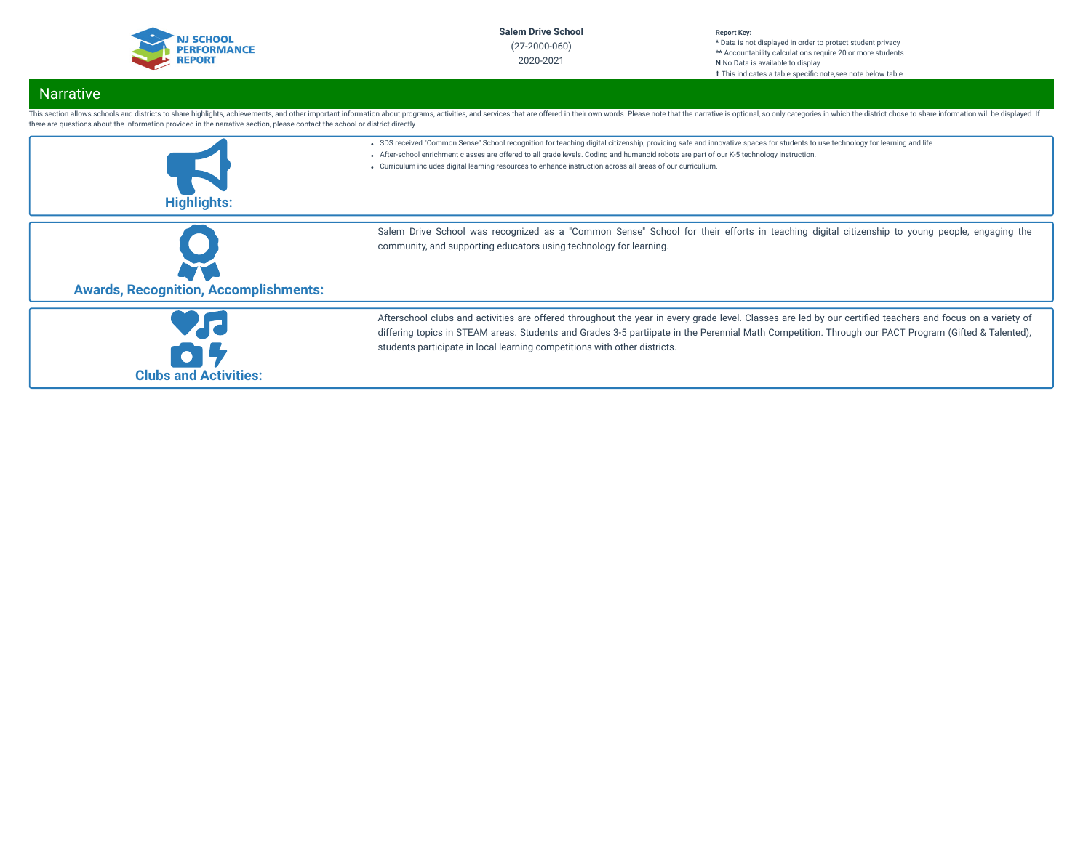

#### **Report Key: \*** Data is not displayed in order to protect student privacy **\*\*** Accountability calculations require 20 or more students **N** No Data is available to display **†** This indicates a table specific note, see note below table

# Narrative

| there are questions about the information provided in the narrative section, please contact the school or district directly. | This section allows schools and districts to share highlights, achievements, and other important information about programs, activities, and services that are offered in their own words. Please note that the narrative is o                                                                                                                                                                                                             |
|------------------------------------------------------------------------------------------------------------------------------|--------------------------------------------------------------------------------------------------------------------------------------------------------------------------------------------------------------------------------------------------------------------------------------------------------------------------------------------------------------------------------------------------------------------------------------------|
| <b>Highlights:</b>                                                                                                           | . SDS received "Common Sense" School recognition for teaching digital citizenship, providing safe and innovative spaces for students to use technology for learning and life.<br>- After-school enrichment classes are offered to all grade levels. Coding and humanoid robots are part of our K-5 technology instruction.<br>• Curriculum includes digital learning resources to enhance instruction across all areas of our curriculium. |
| <b>Awards, Recognition, Accomplishments:</b>                                                                                 | Salem Drive School was recognized as a "Common Sense" School for their efforts in teaching digital citizenship to young people, engaging the<br>community, and supporting educators using technology for learning.                                                                                                                                                                                                                         |
| <b>Clubs and Activities:</b>                                                                                                 | Afterschool clubs and activities are offered throughout the year in every grade level. Classes are led by our certified teachers and focus on a variety of<br>differing topics in STEAM areas. Students and Grades 3-5 partiipate in the Perennial Math Competition. Through our PACT Program (Gifted & Talented),<br>students participate in local learning competitions with other districts.                                            |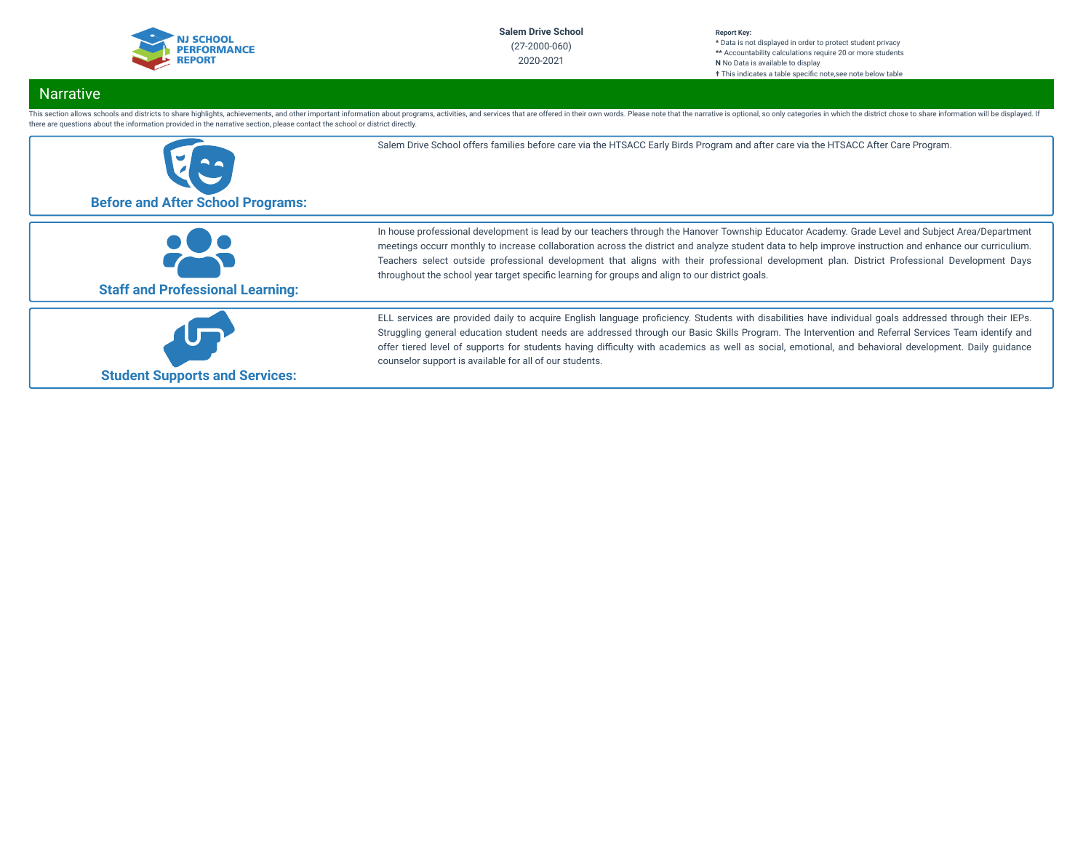

#### **Report Key: \*** Data is not displayed in order to protect student privacy **\*\*** Accountability calculations require 20 or more students **N** No Data is available to display **†** This indicates a table specific note, see note below table

# Narrative

This section allows schools and districts to share highlights, achievements, and other important information about programs, activities, and services that are offered in their own words. Please note that the narrative is o there are questions about the information provided in the narrative section, please contact the school or district directly.

| <b>Before and After School Programs:</b> | Salem Drive School offers families before care via the HTSACC Early Birds Program and after care via the HTSACC After Care Program.                                                                                                                                                                                                                                                                                                                                                                                                                             |
|------------------------------------------|-----------------------------------------------------------------------------------------------------------------------------------------------------------------------------------------------------------------------------------------------------------------------------------------------------------------------------------------------------------------------------------------------------------------------------------------------------------------------------------------------------------------------------------------------------------------|
| <b>Staff and Professional Learning:</b>  | In house professional development is lead by our teachers through the Hanover Township Educator Academy. Grade Level and Subject Area/Department<br>meetings occurr monthly to increase collaboration across the district and analyze student data to help improve instruction and enhance our curriculium.<br>Teachers select outside professional development that aligns with their professional development plan. District Professional Development Days<br>throughout the school year target specific learning for groups and align to our district goals. |
| <b>Student Supports and Services:</b>    | ELL services are provided daily to acquire English language proficiency. Students with disabilities have individual goals addressed through their IEPs.<br>Struggling general education student needs are addressed through our Basic Skills Program. The Intervention and Referral Services Team identify and<br>offer tiered level of supports for students having difficulty with academics as well as social, emotional, and behavioral development. Daily guidance<br>counselor support is available for all of our students.                              |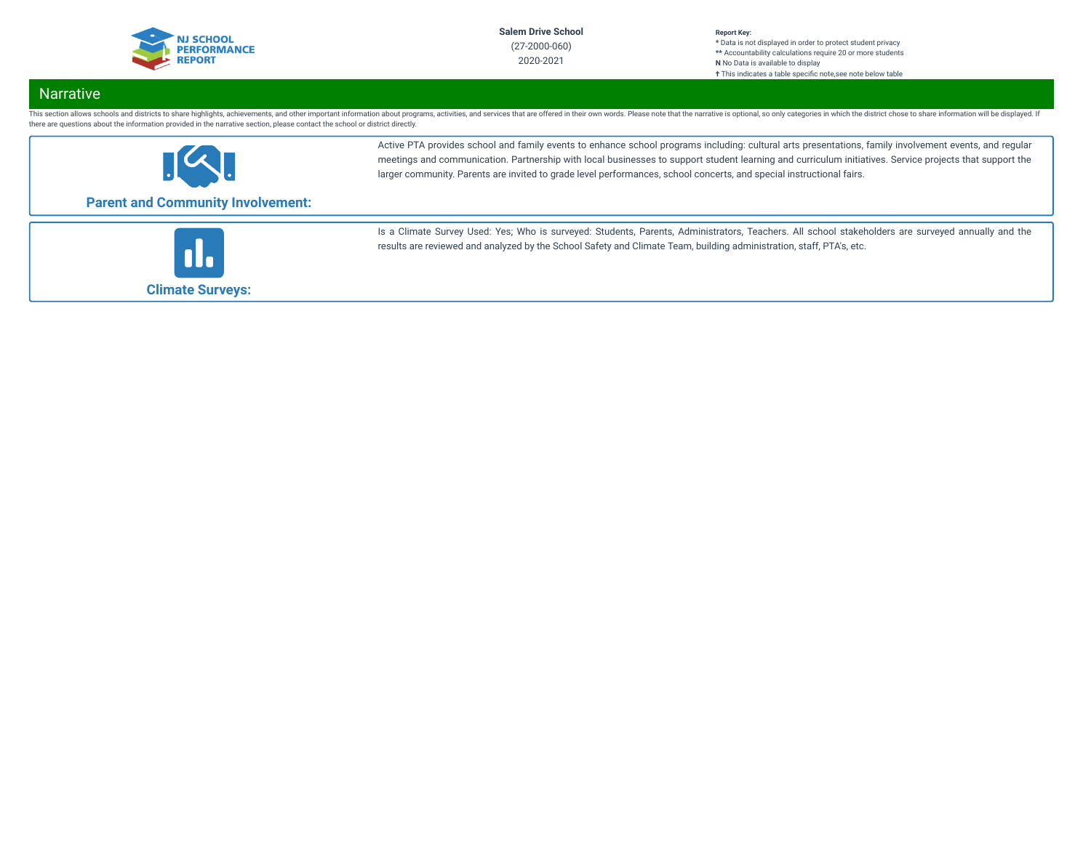

#### **Report Key: \*** Data is not displayed in order to protect student privacy **\*\*** Accountability calculations require 20 or more students **N** No Data is available to display **†** This indicates a table specific note, see note below table

# Narrative

This section allows schools and districts to share highlights, achievements, and other important information about programs, activities, and services that are offered in their own words. Please note that the narrative is o there are questions about the information provided in the narrative section, please contact the school or district directly.



Active PTA provides school and family events to enhance school programs including: cultural arts presentations, family involvement events, and regular meetings and communication. Partnership with local businesses to support student learning and curriculum initiatives. Service projects that support the larger community. Parents are invited to grade level performances, school concerts, and special instructional fairs.

# **Parent and Community Involvement:**



Is a Climate Survey Used: Yes; Who is surveyed: Students, Parents, Administrators, Teachers. All school stakeholders are surveyed annually and the results are reviewed and analyzed by the School Safety and Climate Team, building administration, staff, PTA's, etc.